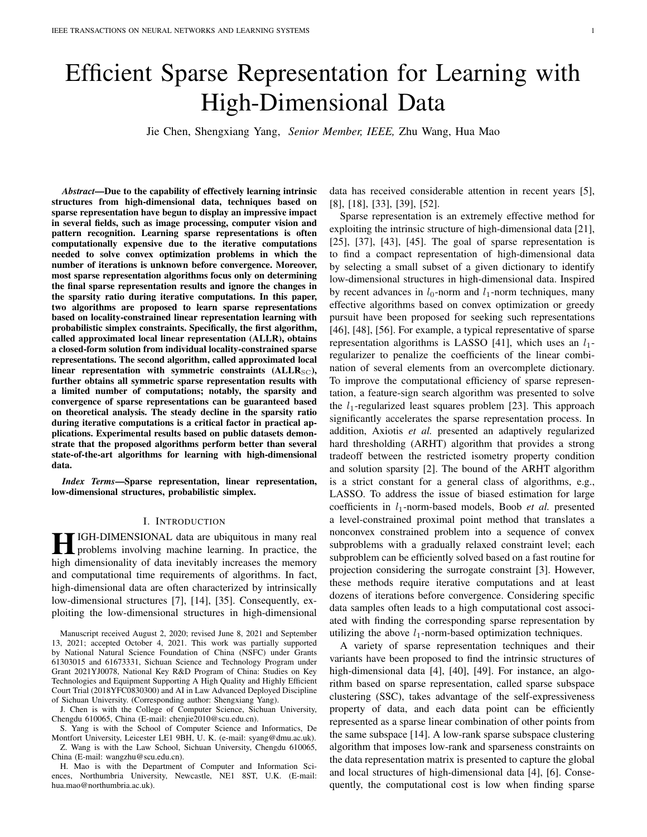# Efficient Sparse Representation for Learning with High-Dimensional Data

Jie Chen, Shengxiang Yang, *Senior Member, IEEE,* Zhu Wang, Hua Mao

*Abstract*—Due to the capability of effectively learning intrinsic structures from high-dimensional data, techniques based on sparse representation have begun to display an impressive impact in several fields, such as image processing, computer vision and pattern recognition. Learning sparse representations is often computationally expensive due to the iterative computations needed to solve convex optimization problems in which the number of iterations is unknown before convergence. Moreover, most sparse representation algorithms focus only on determining the final sparse representation results and ignore the changes in the sparsity ratio during iterative computations. In this paper, two algorithms are proposed to learn sparse representations based on locality-constrained linear representation learning with probabilistic simplex constraints. Specifically, the first algorithm, called approximated local linear representation (ALLR), obtains a closed-form solution from individual locality-constrained sparse representations. The second algorithm, called approximated local linear representation with symmetric constraints  $(ALLR<sub>SC</sub>)$ , further obtains all symmetric sparse representation results with a limited number of computations; notably, the sparsity and convergence of sparse representations can be guaranteed based on theoretical analysis. The steady decline in the sparsity ratio during iterative computations is a critical factor in practical applications. Experimental results based on public datasets demonstrate that the proposed algorithms perform better than several state-of-the-art algorithms for learning with high-dimensional data.

*Index Terms*—Sparse representation, linear representation, low-dimensional structures, probabilistic simplex.

#### I. INTRODUCTION

**HEMENSIONAL data are ubiquitous in many real**<br>problems involving machine learning. In practice, the problems involving machine learning. In practice, the high dimensionality of data inevitably increases the memory and computational time requirements of algorithms. In fact, high-dimensional data are often characterized by intrinsically low-dimensional structures [7], [14], [35]. Consequently, exploiting the low-dimensional structures in high-dimensional

Manuscript received August 2, 2020; revised June 8, 2021 and September 13, 2021; accepted October 4, 2021. This work was partially supported by National Natural Science Foundation of China (NSFC) under Grants 61303015 and 61673331, Sichuan Science and Technology Program under Grant 2021YJ0078, National Key R&D Program of China: Studies on Key Technologies and Equipment Supporting A High Quality and Highly Efficient Court Trial (2018YFC0830300) and AI in Law Advanced Deployed Discipline of Sichuan University. (Corresponding author: Shengxiang Yang).

J. Chen is with the College of Computer Science, Sichuan University, Chengdu 610065, China (E-mail: chenjie2010@scu.edu.cn).

S. Yang is with the School of Computer Science and Informatics, De Montfort University, Leicester LE1 9BH, U. K. (e-mail: syang@dmu.ac.uk). Z. Wang is with the Law School, Sichuan University, Chengdu 610065,

China (E-mail: wangzhu@scu.edu.cn).

H. Mao is with the Department of Computer and Information Sciences, Northumbria University, Newcastle, NE1 8ST, U.K. (E-mail: hua.mao@northumbria.ac.uk).

data has received considerable attention in recent years [5], [8], [18], [33], [39], [52].

Sparse representation is an extremely effective method for exploiting the intrinsic structure of high-dimensional data [21], [25], [37], [43], [45]. The goal of sparse representation is to find a compact representation of high-dimensional data by selecting a small subset of a given dictionary to identify low-dimensional structures in high-dimensional data. Inspired by recent advances in  $l_0$ -norm and  $l_1$ -norm techniques, many effective algorithms based on convex optimization or greedy pursuit have been proposed for seeking such representations [46], [48], [56]. For example, a typical representative of sparse representation algorithms is LASSO [41], which uses an  $l_1$ regularizer to penalize the coefficients of the linear combination of several elements from an overcomplete dictionary. To improve the computational efficiency of sparse representation, a feature-sign search algorithm was presented to solve the  $l_1$ -regularized least squares problem [23]. This approach significantly accelerates the sparse representation process. In addition, Axiotis *et al.* presented an adaptively regularized hard thresholding (ARHT) algorithm that provides a strong tradeoff between the restricted isometry property condition and solution sparsity [2]. The bound of the ARHT algorithm is a strict constant for a general class of algorithms, e.g., LASSO. To address the issue of biased estimation for large coefficients in  $l_1$ -norm-based models, Boob *et al.* presented a level-constrained proximal point method that translates a nonconvex constrained problem into a sequence of convex subproblems with a gradually relaxed constraint level; each subproblem can be efficiently solved based on a fast routine for projection considering the surrogate constraint [3]. However, these methods require iterative computations and at least dozens of iterations before convergence. Considering specific data samples often leads to a high computational cost associated with finding the corresponding sparse representation by utilizing the above  $l_1$ -norm-based optimization techniques.

A variety of sparse representation techniques and their variants have been proposed to find the intrinsic structures of high-dimensional data [4], [40], [49]. For instance, an algorithm based on sparse representation, called sparse subspace clustering (SSC), takes advantage of the self-expressiveness property of data, and each data point can be efficiently represented as a sparse linear combination of other points from the same subspace [14]. A low-rank sparse subspace clustering algorithm that imposes low-rank and sparseness constraints on the data representation matrix is presented to capture the global and local structures of high-dimensional data [4], [6]. Consequently, the computational cost is low when finding sparse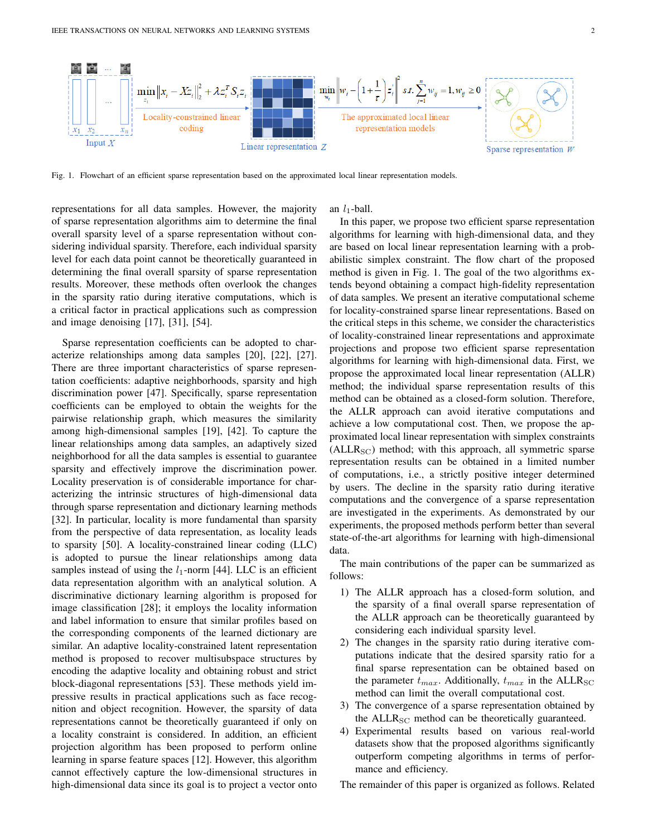

Fig. 1. Flowchart of an efficient sparse representation based on the approximated local linear representation models.

representations for all data samples. However, the majority of sparse representation algorithms aim to determine the final overall sparsity level of a sparse representation without considering individual sparsity. Therefore, each individual sparsity level for each data point cannot be theoretically guaranteed in determining the final overall sparsity of sparse representation results. Moreover, these methods often overlook the changes in the sparsity ratio during iterative computations, which is a critical factor in practical applications such as compression and image denoising [17], [31], [54].

Sparse representation coefficients can be adopted to characterize relationships among data samples [20], [22], [27]. There are three important characteristics of sparse representation coefficients: adaptive neighborhoods, sparsity and high discrimination power [47]. Specifically, sparse representation coefficients can be employed to obtain the weights for the pairwise relationship graph, which measures the similarity among high-dimensional samples [19], [42]. To capture the linear relationships among data samples, an adaptively sized neighborhood for all the data samples is essential to guarantee sparsity and effectively improve the discrimination power. Locality preservation is of considerable importance for characterizing the intrinsic structures of high-dimensional data through sparse representation and dictionary learning methods [32]. In particular, locality is more fundamental than sparsity from the perspective of data representation, as locality leads to sparsity [50]. A locality-constrained linear coding (LLC) is adopted to pursue the linear relationships among data samples instead of using the  $l_1$ -norm [44]. LLC is an efficient data representation algorithm with an analytical solution. A discriminative dictionary learning algorithm is proposed for image classification [28]; it employs the locality information and label information to ensure that similar profiles based on the corresponding components of the learned dictionary are similar. An adaptive locality-constrained latent representation method is proposed to recover multisubspace structures by encoding the adaptive locality and obtaining robust and strict block-diagonal representations [53]. These methods yield impressive results in practical applications such as face recognition and object recognition. However, the sparsity of data representations cannot be theoretically guaranteed if only on a locality constraint is considered. In addition, an efficient projection algorithm has been proposed to perform online learning in sparse feature spaces [12]. However, this algorithm cannot effectively capture the low-dimensional structures in high-dimensional data since its goal is to project a vector onto

an  $l_1$ -ball.

In this paper, we propose two efficient sparse representation algorithms for learning with high-dimensional data, and they are based on local linear representation learning with a probabilistic simplex constraint. The flow chart of the proposed method is given in Fig. 1. The goal of the two algorithms extends beyond obtaining a compact high-fidelity representation of data samples. We present an iterative computational scheme for locality-constrained sparse linear representations. Based on the critical steps in this scheme, we consider the characteristics of locality-constrained linear representations and approximate projections and propose two efficient sparse representation algorithms for learning with high-dimensional data. First, we propose the approximated local linear representation (ALLR) method; the individual sparse representation results of this method can be obtained as a closed-form solution. Therefore, the ALLR approach can avoid iterative computations and achieve a low computational cost. Then, we propose the approximated local linear representation with simplex constraints  $(ALLR_{SC})$  method; with this approach, all symmetric sparse representation results can be obtained in a limited number of computations, i.e., a strictly positive integer determined by users. The decline in the sparsity ratio during iterative computations and the convergence of a sparse representation are investigated in the experiments. As demonstrated by our experiments, the proposed methods perform better than several state-of-the-art algorithms for learning with high-dimensional data.

The main contributions of the paper can be summarized as follows:

- 1) The ALLR approach has a closed-form solution, and the sparsity of a final overall sparse representation of the ALLR approach can be theoretically guaranteed by considering each individual sparsity level.
- 2) The changes in the sparsity ratio during iterative computations indicate that the desired sparsity ratio for a final sparse representation can be obtained based on the parameter  $t_{max}$ . Additionally,  $t_{max}$  in the ALLR<sub>SC</sub> method can limit the overall computational cost.
- 3) The convergence of a sparse representation obtained by the  $ALLR_{SC}$  method can be theoretically guaranteed.
- 4) Experimental results based on various real-world datasets show that the proposed algorithms significantly outperform competing algorithms in terms of performance and efficiency.

The remainder of this paper is organized as follows. Related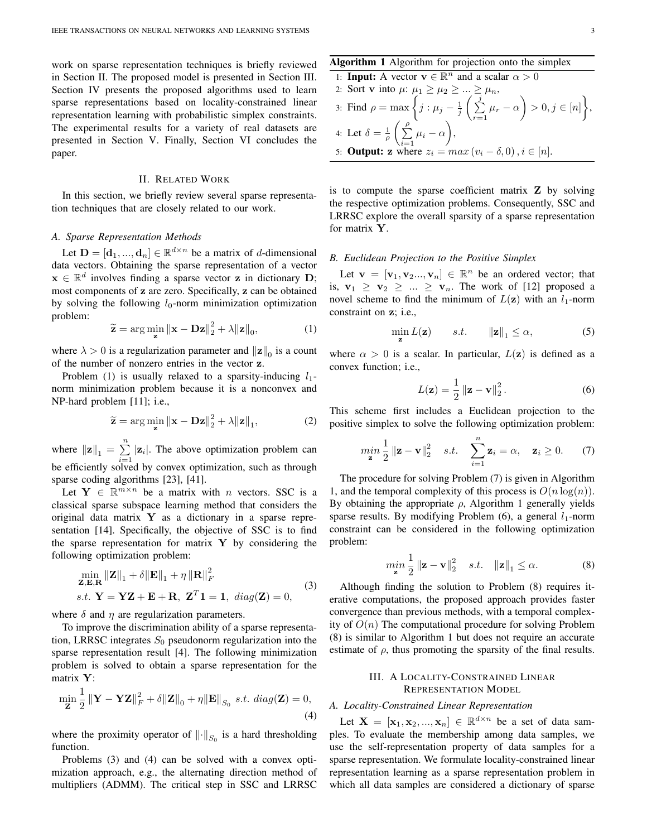work on sparse representation techniques is briefly reviewed in Section II. The proposed model is presented in Section III. Section IV presents the proposed algorithms used to learn sparse representations based on locality-constrained linear representation learning with probabilistic simplex constraints. The experimental results for a variety of real datasets are presented in Section V. Finally, Section VI concludes the paper.

## II. RELATED WORK

In this section, we briefly review several sparse representation techniques that are closely related to our work.

# *A. Sparse Representation Methods*

Let  $\mathbf{D} = [\mathbf{d}_1, ..., \mathbf{d}_n] \in \mathbb{R}^{d \times n}$  be a matrix of *d*-dimensional data vectors. Obtaining the sparse representation of a vector  $x \in \mathbb{R}^d$  involves finding a sparse vector z in dictionary D; most components of z are zero. Specifically, z can be obtained by solving the following  $l_0$ -norm minimization optimization problem:

$$
\widetilde{\mathbf{z}} = \arg\min_{\mathbf{z}} \|\mathbf{x} - \mathbf{D}\mathbf{z}\|_2^2 + \lambda \|\mathbf{z}\|_0,\tag{1}
$$

where  $\lambda > 0$  is a regularization parameter and  $\|\mathbf{z}\|_0$  is a count of the number of nonzero entries in the vector z.

Problem (1) is usually relaxed to a sparsity-inducing  $l_1$ norm minimization problem because it is a nonconvex and NP-hard problem [11]; i.e.,

$$
\widetilde{\mathbf{z}} = \arg\min_{\mathbf{z}} \|\mathbf{x} - \mathbf{D}\mathbf{z}\|_{2}^{2} + \lambda \|\mathbf{z}\|_{1},
$$
 (2)

where  $\|\mathbf{z}\|_1 = \sum_{n=1}^n$  $\sum_{i=1}^{\infty} |z_i|$ . The above optimization problem can be efficiently solved by convex optimization, such as through sparse coding algorithms [23], [41].

Let  $Y \in \mathbb{R}^{m \times n}$  be a matrix with *n* vectors. SSC is a classical sparse subspace learning method that considers the original data matrix  $Y$  as a dictionary in a sparse representation [14]. Specifically, the objective of SSC is to find the sparse representation for matrix  $Y$  by considering the following optimization problem:

$$
\min_{\mathbf{Z}, \mathbf{E}, \mathbf{R}} \|\mathbf{Z}\|_1 + \delta \|\mathbf{E}\|_1 + \eta \|\mathbf{R}\|_F^2
$$
  
s.t.  $\mathbf{Y} = \mathbf{YZ} + \mathbf{E} + \mathbf{R}, \ \mathbf{Z}^T \mathbf{1} = \mathbf{1}, \ diag(\mathbf{Z}) = 0,$  (3)

where  $\delta$  and  $\eta$  are regularization parameters.

To improve the discrimination ability of a sparse representation, LRRSC integrates  $S_0$  pseudonorm regularization into the sparse representation result [4]. The following minimization problem is solved to obtain a sparse representation for the matrix Y:

$$
\min_{\mathbf{Z}} \frac{1}{2} \left\| \mathbf{Y} - \mathbf{Y} \mathbf{Z} \right\|_F^2 + \delta \|\mathbf{Z}\|_0 + \eta \|\mathbf{E}\|_{S_0} \text{ s.t. } diag(\mathbf{Z}) = 0,
$$
\n(4)

where the proximity operator of  $\left\| \cdot \right\|_{S_0}$  is a hard thresholding function.

Problems (3) and (4) can be solved with a convex optimization approach, e.g., the alternating direction method of multipliers (ADMM). The critical step in SSC and LRRSC

# Algorithm 1 Algorithm for projection onto the simplex

\n- 1: **Input:** A vector 
$$
\mathbf{v} \in \mathbb{R}^n
$$
 and a scalar  $\alpha > 0$
\n- 2: Sort **v** into  $\mu: \mu_1 \geq \mu_2 \geq \ldots \geq \mu_n$ ,
\n- 3: Find  $\rho = \max\left\{j : \mu_j - \frac{1}{j}\left(\sum_{r=1}^j \mu_r - \alpha\right) > 0, j \in [n]\right\}$ ,
\n- 4: Let  $\delta = \frac{1}{\rho} \left(\sum_{i=1}^{\rho} \mu_i - \alpha\right)$ ,
\n- 5: **Output: z** where  $z_i = \max(v_i - \delta, 0), i \in [n]$ .
\n

is to compute the sparse coefficient matrix  $Z$  by solving the respective optimization problems. Consequently, SSC and LRRSC explore the overall sparsity of a sparse representation for matrix Y.

# *B. Euclidean Projection to the Positive Simplex*

Let  $\mathbf{v} = [\mathbf{v}_1, \mathbf{v}_2, ..., \mathbf{v}_n] \in \mathbb{R}^n$  be an ordered vector; that is,  $\mathbf{v}_1 \geq \mathbf{v}_2 \geq ... \geq \mathbf{v}_n$ . The work of [12] proposed a novel scheme to find the minimum of  $L(\mathbf{z})$  with an  $l_1$ -norm constraint on z; i.e.,

$$
\min_{\mathbf{z}} L(\mathbf{z}) \qquad s.t. \qquad ||\mathbf{z}||_1 \le \alpha,\tag{5}
$$

where  $\alpha > 0$  is a scalar. In particular,  $L(z)$  is defined as a convex function; i.e.,

$$
L(\mathbf{z}) = \frac{1}{2} ||\mathbf{z} - \mathbf{v}||_2^2.
$$
 (6)

This scheme first includes a Euclidean projection to the positive simplex to solve the following optimization problem:

$$
\min_{\mathbf{z}} \frac{1}{2} \|\mathbf{z} - \mathbf{v}\|_2^2 \quad s.t. \quad \sum_{i=1}^n \mathbf{z}_i = \alpha, \quad \mathbf{z}_i \ge 0. \tag{7}
$$

The procedure for solving Problem (7) is given in Algorithm 1, and the temporal complexity of this process is  $O(n \log(n))$ . By obtaining the appropriate  $\rho$ , Algorithm 1 generally yields sparse results. By modifying Problem  $(6)$ , a general  $l_1$ -norm constraint can be considered in the following optimization problem:

$$
\min_{\mathbf{z}} \frac{1}{2} \left\| \mathbf{z} - \mathbf{v} \right\|_2^2 \quad s.t. \quad \left\| \mathbf{z} \right\|_1 \le \alpha. \tag{8}
$$

Although finding the solution to Problem (8) requires iterative computations, the proposed approach provides faster convergence than previous methods, with a temporal complexity of  $O(n)$  The computational procedure for solving Problem (8) is similar to Algorithm 1 but does not require an accurate estimate of  $\rho$ , thus promoting the sparsity of the final results.

# III. A LOCALITY-CONSTRAINED LINEAR REPRESENTATION MODEL

# *A. Locality-Constrained Linear Representation*

Let  $X = [\mathbf{x}_1, \mathbf{x}_2, ..., \mathbf{x}_n] \in \mathbb{R}^{d \times n}$  be a set of data samples. To evaluate the membership among data samples, we use the self-representation property of data samples for a sparse representation. We formulate locality-constrained linear representation learning as a sparse representation problem in which all data samples are considered a dictionary of sparse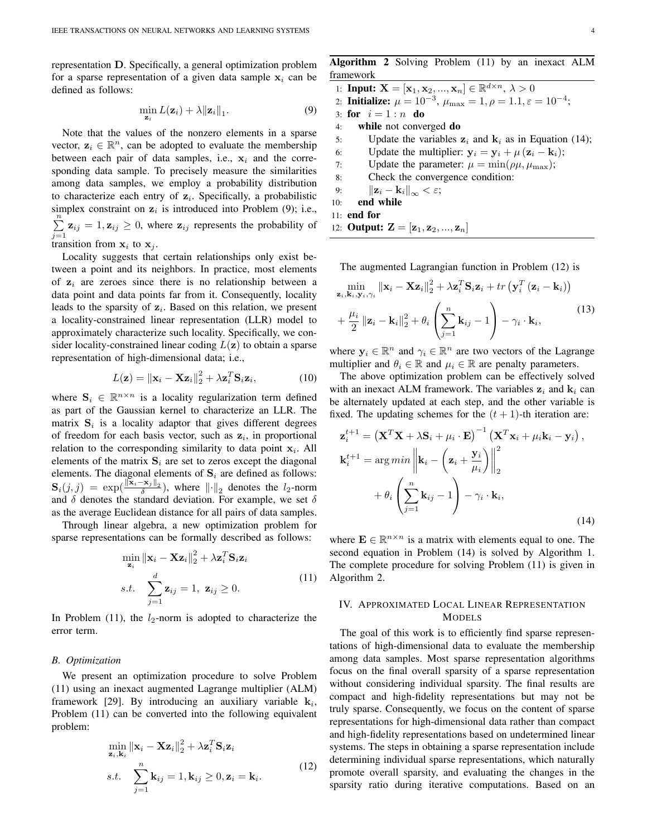representation D. Specifically, a general optimization problem for a sparse representation of a given data sample  $x_i$  can be defined as follows:

$$
\min_{\mathbf{z}_i} L(\mathbf{z}_i) + \lambda \|\mathbf{z}_i\|_1.
$$
 (9)

Note that the values of the nonzero elements in a sparse vector,  $z_i \in \mathbb{R}^n$ , can be adopted to evaluate the membership between each pair of data samples, i.e.,  $x_i$  and the corresponding data sample. To precisely measure the similarities among data samples, we employ a probability distribution to characterize each entry of  $z_i$ . Specifically, a probabilistic simplex constraint on  $z_i$  is introduced into Problem (9); i.e.,  $\sum_{n=1}^{\infty}$  $\sum_{j=1}$   $z_{ij} = 1, z_{ij} \ge 0$ , where  $z_{ij}$  represents the probability of transition from  $x_i$  to  $x_j$ .

Locality suggests that certain relationships only exist between a point and its neighbors. In practice, most elements of  $z_i$  are zeroes since there is no relationship between a data point and data points far from it. Consequently, locality leads to the sparsity of  $z_i$ . Based on this relation, we present a locality-constrained linear representation (LLR) model to approximately characterize such locality. Specifically, we consider locality-constrained linear coding  $L(\mathbf{z})$  to obtain a sparse representation of high-dimensional data; i.e.,

$$
L(\mathbf{z}) = ||\mathbf{x}_i - \mathbf{X} \mathbf{z}_i||_2^2 + \lambda \mathbf{z}_i^T \mathbf{S}_i \mathbf{z}_i,
$$
 (10)

where  $\mathbf{S}_i \in \mathbb{R}^{n \times n}$  is a locality regularization term defined as part of the Gaussian kernel to characterize an LLR. The matrix  $S_i$  is a locality adaptor that gives different degrees of freedom for each basis vector, such as  $z_i$ , in proportional relation to the corresponding similarity to data point  $x_i$ . All elements of the matrix  $S_i$  are set to zeros except the diagonal elements. The diagonal elements of  $S_i$  are defined as follows:  $\mathbf{S}_i(j,j) = \exp(\frac{\|\mathbf{x}_i - \mathbf{x}_j\|_2}{\delta})$ , where  $\|\cdot\|_2$  denotes the *l*<sub>2</sub>-norm and  $\delta$  denotes the standard deviation. For example, we set  $\delta$ as the average Euclidean distance for all pairs of data samples.

Through linear algebra, a new optimization problem for sparse representations can be formally described as follows:

$$
\min_{\mathbf{z}_i} \|\mathbf{x}_i - \mathbf{X}\mathbf{z}_i\|_2^2 + \lambda \mathbf{z}_i^T \mathbf{S}_i \mathbf{z}_i
$$
\n
$$
s.t. \quad \sum_{j=1}^d \mathbf{z}_{ij} = 1, \ \mathbf{z}_{ij} \ge 0.
$$
\n
$$
(11)
$$

In Problem  $(11)$ , the  $l_2$ -norm is adopted to characterize the error term.

## *B. Optimization*

We present an optimization procedure to solve Problem (11) using an inexact augmented Lagrange multiplier (ALM) framework [29]. By introducing an auxiliary variable  $k_i$ , Problem (11) can be converted into the following equivalent problem:

$$
\min_{\mathbf{z}_i, \mathbf{k}_i} ||\mathbf{x}_i - \mathbf{X} \mathbf{z}_i||_2^2 + \lambda \mathbf{z}_i^T \mathbf{S}_i \mathbf{z}_i
$$
  
s.t. 
$$
\sum_{j=1}^n \mathbf{k}_{ij} = 1, \mathbf{k}_{ij} \ge 0, \mathbf{z}_i = \mathbf{k}_i.
$$
 (12)

Algorithm 2 Solving Problem (11) by an inexact ALM framework

|     | 1: <b>Input:</b> $X = [\mathbf{x}_1, \mathbf{x}_2, , \mathbf{x}_n] \in \mathbb{R}^{d \times n}, \lambda > 0$ |
|-----|--------------------------------------------------------------------------------------------------------------|
|     | 2: <b>Initialize:</b> $\mu = 10^{-3}$ , $\mu_{\text{max}} = 1$ , $\rho = 1.1$ , $\varepsilon = 10^{-4}$ ;    |
|     | 3: for $i = 1 : n$ do                                                                                        |
| 4:  | while not converged do                                                                                       |
| 5:  | Update the variables $z_i$ and $k_i$ as in Equation (14);                                                    |
| 6:  | Update the multiplier: $y_i = y_i + \mu (z_i - k_i);$                                                        |
| 7:  | Update the parameter: $\mu = \min(\rho \mu, \mu_{\max})$ ;                                                   |
| 8:  | Check the convergence condition:                                                                             |
| 9:  | $\ \mathbf{z}_i - \mathbf{k}_i\ _{\infty} < \varepsilon;$                                                    |
| 10: | end while                                                                                                    |
|     | 11: end for                                                                                                  |
|     | 12: <b>Output:</b> $\mathbf{Z} = [\mathbf{z}_1, \mathbf{z}_2, , \mathbf{z}_n]$                               |

The augmented Lagrangian function in Problem (12) is

$$
\min_{\mathbf{z}_{i}, \mathbf{k}_{i}, \mathbf{y}_{i}, \gamma_{i}} ||\mathbf{x}_{i} - \mathbf{X} \mathbf{z}_{i}||_{2}^{2} + \lambda \mathbf{z}_{i}^{T} \mathbf{S}_{i} \mathbf{z}_{i} + tr \left( \mathbf{y}_{i}^{T} \left( \mathbf{z}_{i} - \mathbf{k}_{i} \right) \right) + \frac{\mu_{i}}{2} ||\mathbf{z}_{i} - \mathbf{k}_{i}||_{2}^{2} + \theta_{i} \left( \sum_{j=1}^{n} \mathbf{k}_{ij} - 1 \right) - \gamma_{i} \cdot \mathbf{k}_{i},
$$
\n(13)

where  $y_i \in \mathbb{R}^n$  and  $\gamma_i \in \mathbb{R}^n$  are two vectors of the Lagrange multiplier and  $\theta_i \in \mathbb{R}$  and  $\mu_i \in \mathbb{R}$  are penalty parameters.

The above optimization problem can be effectively solved with an inexact ALM framework. The variables  $z_i$  and  $k_i$  can be alternately updated at each step, and the other variable is fixed. The updating schemes for the  $(t + 1)$ -th iteration are:

$$
\mathbf{z}_{i}^{t+1} = \left(\mathbf{X}^{T}\mathbf{X} + \lambda\mathbf{S}_{i} + \mu_{i} \cdot \mathbf{E}\right)^{-1} \left(\mathbf{X}^{T}\mathbf{x}_{i} + \mu_{i}\mathbf{k}_{i} - \mathbf{y}_{i}\right),
$$
\n
$$
\mathbf{k}_{i}^{t+1} = \arg\min \left\| \mathbf{k}_{i} - \left(\mathbf{z}_{i} + \frac{\mathbf{y}_{i}}{\mu_{i}}\right) \right\|_{2}^{2}
$$
\n
$$
+ \theta_{i} \left(\sum_{j=1}^{n} \mathbf{k}_{ij} - 1\right) - \gamma_{i} \cdot \mathbf{k}_{i},
$$
\n(14)

where  $\mathbf{E} \in \mathbb{R}^{n \times n}$  is a matrix with elements equal to one. The second equation in Problem (14) is solved by Algorithm 1. The complete procedure for solving Problem (11) is given in Algorithm 2.

# IV. APPROXIMATED LOCAL LINEAR REPRESENTATION MODELS

The goal of this work is to efficiently find sparse representations of high-dimensional data to evaluate the membership among data samples. Most sparse representation algorithms focus on the final overall sparsity of a sparse representation without considering individual sparsity. The final results are compact and high-fidelity representations but may not be truly sparse. Consequently, we focus on the content of sparse representations for high-dimensional data rather than compact and high-fidelity representations based on undetermined linear systems. The steps in obtaining a sparse representation include determining individual sparse representations, which naturally promote overall sparsity, and evaluating the changes in the sparsity ratio during iterative computations. Based on an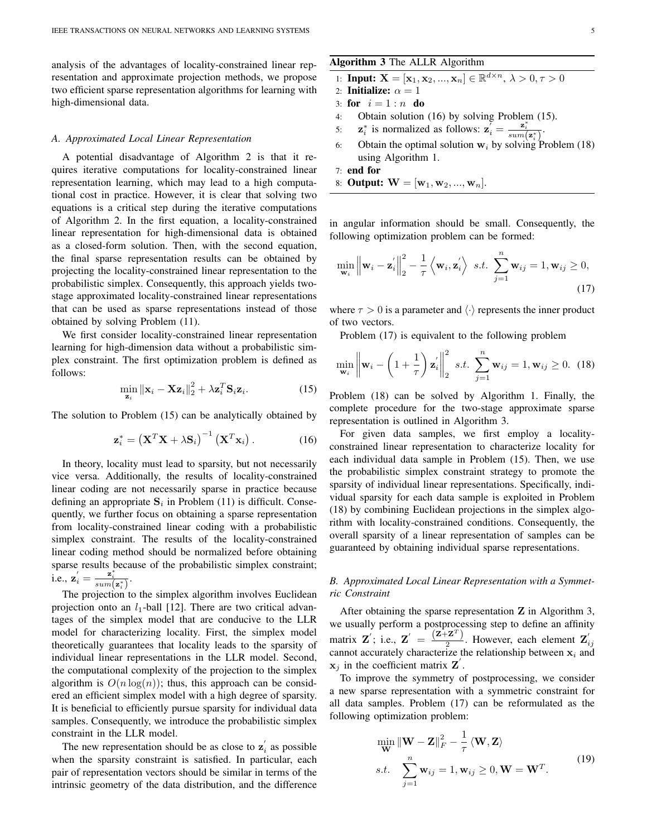analysis of the advantages of locality-constrained linear representation and approximate projection methods, we propose two efficient sparse representation algorithms for learning with high-dimensional data.

#### *A. Approximated Local Linear Representation*

A potential disadvantage of Algorithm 2 is that it requires iterative computations for locality-constrained linear representation learning, which may lead to a high computational cost in practice. However, it is clear that solving two equations is a critical step during the iterative computations of Algorithm 2. In the first equation, a locality-constrained linear representation for high-dimensional data is obtained as a closed-form solution. Then, with the second equation, the final sparse representation results can be obtained by projecting the locality-constrained linear representation to the probabilistic simplex. Consequently, this approach yields twostage approximated locality-constrained linear representations that can be used as sparse representations instead of those obtained by solving Problem (11).

We first consider locality-constrained linear representation learning for high-dimension data without a probabilistic simplex constraint. The first optimization problem is defined as follows:

$$
\min_{\mathbf{z}_i} \|\mathbf{x}_i - \mathbf{X} \mathbf{z}_i\|_2^2 + \lambda \mathbf{z}_i^T \mathbf{S}_i \mathbf{z}_i. \tag{15}
$$

The solution to Problem (15) can be analytically obtained by

$$
\mathbf{z}_{i}^{*} = \left(\mathbf{X}^{T}\mathbf{X} + \lambda\mathbf{S}_{i}\right)^{-1}\left(\mathbf{X}^{T}\mathbf{x}_{i}\right). \tag{16}
$$

In theory, locality must lead to sparsity, but not necessarily vice versa. Additionally, the results of locality-constrained linear coding are not necessarily sparse in practice because defining an appropriate  $S_i$  in Problem (11) is difficult. Consequently, we further focus on obtaining a sparse representation from locality-constrained linear coding with a probabilistic simplex constraint. The results of the locality-constrained linear coding method should be normalized before obtaining sparse results because of the probabilistic simplex constraint; i.e.,  $\mathbf{z}'_i = \frac{\mathbf{z}^*_i}{sum(\mathbf{z}^*_i)}$ .

The projection to the simplex algorithm involves Euclidean projection onto an  $l_1$ -ball [12]. There are two critical advantages of the simplex model that are conducive to the LLR model for characterizing locality. First, the simplex model theoretically guarantees that locality leads to the sparsity of individual linear representations in the LLR model. Second, the computational complexity of the projection to the simplex algorithm is  $O(n \log(n))$ ; thus, this approach can be considered an efficient simplex model with a high degree of sparsity. It is beneficial to efficiently pursue sparsity for individual data samples. Consequently, we introduce the probabilistic simplex constraint in the LLR model.

The new representation should be as close to  $\mathbf{z}'_i$  as possible when the sparsity constraint is satisfied. In particular, each pair of representation vectors should be similar in terms of the intrinsic geometry of the data distribution, and the difference

# Algorithm 3 The ALLR Algorithm

1: Input: 
$$
\mathbf{X} = [\mathbf{x}_1, \mathbf{x}_2, ..., \mathbf{x}_n] \in \mathbb{R}^{d \times n}, \lambda > 0, \tau > 0
$$

- 2: **Initialize:**  $\alpha = 1$
- 3: for  $i = 1 : n$  do
- 4: Obtain solution (16) by solving Problem (15).
- 5:  $\mathbf{z}_i^*$  is normalized as follows:  $\mathbf{z}_i = \frac{\mathbf{z}_i^*}{sum(\mathbf{z}_i^*)}$ .
- 6: Obtain the optimal solution  $w_i$  by solving Problem (18) using Algorithm 1.

7: end for

8: **Output:**  $W = [w_1, w_2, ..., w_n].$ 

in angular information should be small. Consequently, the following optimization problem can be formed:

$$
\min_{\mathbf{w}_i} \left\| \mathbf{w}_i - \mathbf{z}_i' \right\|_2^2 - \frac{1}{\tau} \left\langle \mathbf{w}_i, \mathbf{z}_i' \right\rangle \ s.t. \ \sum_{j=1}^n \mathbf{w}_{ij} = 1, \mathbf{w}_{ij} \ge 0,
$$
\n(17)

where  $\tau > 0$  is a parameter and  $\langle \cdot \rangle$  represents the inner product of two vectors.

Problem (17) is equivalent to the following problem

$$
\min_{\mathbf{w}_i} \left\| \mathbf{w}_i - \left( 1 + \frac{1}{\tau} \right) \mathbf{z}'_i \right\|_2^2 \ s.t. \sum_{j=1}^n \mathbf{w}_{ij} = 1, \mathbf{w}_{ij} \ge 0. \tag{18}
$$

Problem (18) can be solved by Algorithm 1. Finally, the complete procedure for the two-stage approximate sparse representation is outlined in Algorithm 3.

For given data samples, we first employ a localityconstrained linear representation to characterize locality for each individual data sample in Problem (15). Then, we use the probabilistic simplex constraint strategy to promote the sparsity of individual linear representations. Specifically, individual sparsity for each data sample is exploited in Problem (18) by combining Euclidean projections in the simplex algorithm with locality-constrained conditions. Consequently, the overall sparsity of a linear representation of samples can be guaranteed by obtaining individual sparse representations.

# *B. Approximated Local Linear Representation with a Symmetric Constraint*

After obtaining the sparse representation Z in Algorithm 3, we usually perform a postprocessing step to define an affinity matrix Z'; i.e.,  $Z' = \frac{(\overline{z} + \overline{z})^T}{2}$ matrix **Z**'; i.e., **Z**' =  $\frac{(\mathbf{Z} + \mathbf{Z}^2)}{2}$ . However, each element **Z**<sub>ij</sub> cannot accurately characterize the relationship between  $\mathbf{x}_i$  and  $x_j$  in the coefficient matrix  $Z$ .

To improve the symmetry of postprocessing, we consider a new sparse representation with a symmetric constraint for all data samples. Problem (17) can be reformulated as the following optimization problem:

$$
\min_{\mathbf{W}} \|\mathbf{W} - \mathbf{Z}\|_F^2 - \frac{1}{\tau} \langle \mathbf{W}, \mathbf{Z} \rangle
$$
  
s.t. 
$$
\sum_{j=1}^n \mathbf{w}_{ij} = 1, \mathbf{w}_{ij} \ge 0, \mathbf{W} = \mathbf{W}^T.
$$
 (19)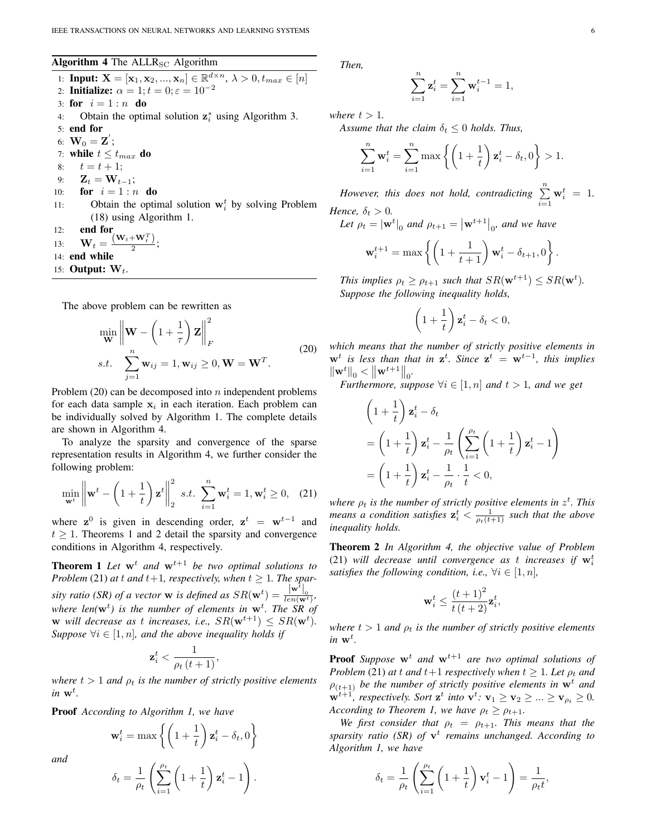# Algorithm 4 The  $ALLR_{SC}$  Algorithm

1: **Input:**  $X = [\mathbf{x}_1, \mathbf{x}_2, ..., \mathbf{x}_n] \in \mathbb{R}^{d \times n}, \lambda > 0, t_{max} \in [n]$ 2: **Initialize:**  $\alpha = 1; t = 0; \varepsilon = 10^{-2}$ 3: for  $i = 1 : n$  do 4: Obtain the optimal solution  $z_i^*$  using Algorithm 3. 5: end for 6:  ${\bf W}_0={\bf Z}^{'};$ 7: while  $t \leq t_{max}$  do 8:  $t = t + 1$ ; 9:  $\mathbf{Z}_t = \mathbf{W}_{t-1};$ 10: **for**  $i = 1 : n$  **do** 11: Obtain the optimal solution  $w_i^t$  by solving Problem (18) using Algorithm 1. 12: end for 13:  $\mathbf{W}_t = \frac{(\mathbf{W}_t + \mathbf{W}_t^T)}{2}$  $\frac{1}{2}$ ; 14: end while 15: **Output:**  $W_t$ .

The above problem can be rewritten as

$$
\min_{\mathbf{W}} \left\| \mathbf{W} - \left( 1 + \frac{1}{\tau} \right) \mathbf{Z} \right\|_F^2
$$
\n
$$
s.t. \quad \sum_{j=1}^n \mathbf{w}_{ij} = 1, \mathbf{w}_{ij} \ge 0, \mathbf{W} = \mathbf{W}^T.
$$
\n(20)

Problem  $(20)$  can be decomposed into n independent problems for each data sample  $x_i$  in each iteration. Each problem can be individually solved by Algorithm 1. The complete details are shown in Algorithm 4.

To analyze the sparsity and convergence of the sparse representation results in Algorithm 4, we further consider the following problem:

$$
\min_{\mathbf{w}^t} \left\| \mathbf{w}^t - \left( 1 + \frac{1}{t} \right) \mathbf{z}^t \right\|_2^2 \quad s.t. \quad \sum_{i=1}^n \mathbf{w}_i^t = 1, \mathbf{w}_i^t \ge 0, \quad (21)
$$

where  $z^0$  is given in descending order,  $z^t = w^{t-1}$  and  $t \geq 1$ . Theorems 1 and 2 detail the sparsity and convergence conditions in Algorithm 4, respectively.

**Theorem 1** Let  $w^t$  and  $w^{t+1}$  be two optimal solutions to *Problem* (21) *at*  $t$  *and*  $t+1$ *, respectively, when*  $t \geq 1$ *. The sparsity ratio (SR) of a vector* **w** *is defined as*  $SR(\mathbf{w}^t) = \frac{|\mathbf{w}^t|_0}{len(\mathbf{w}^t)},$ where len( $\mathbf{w}^t$ ) is the number of elements in  $\mathbf{w}^t$ . The SR of **w** will decrease as t increases, i.e.,  $SR(\mathbf{w}^{t+1}) \leq SR(\mathbf{w}^t)$ . *Suppose*  $\forall i \in [1, n]$ *, and the above inequality holds if* 

$$
\mathbf{z}_i^t < \frac{1}{\rho_t\left(t+1\right)},
$$

*where*  $t > 1$  *and*  $\rho_t$  *is the number of strictly positive elements*  $in$  **w**<sup>t</sup>.

Proof *According to Algorithm 1, we have*

 $w_i^t = \max \left\{ \left( 1 + \frac{1}{t} \right)$ 

*and*

$$
\delta_t = \frac{1}{\rho_t} \left( \sum_{i=1}^{\rho_t} \left( 1 + \frac{1}{t} \right) \mathbf{z}_i^t - 1 \right).
$$

t

 $\left\{ \mathbf{z}_{i}^{t}-\delta_{t},0\right\}$ 

*Then,*

$$
\sum_{i=1}^{n} \mathbf{z}_i^t = \sum_{i=1}^{n} \mathbf{w}_i^{t-1} = 1,
$$

*where*  $t > 1$ *.* 

*Assume that the claim*  $\delta_t \leq 0$  *holds. Thus,* 

$$
\sum_{i=1}^{n} \mathbf{w}_i^t = \sum_{i=1}^{n} \max \left\{ \left( 1 + \frac{1}{t} \right) \mathbf{z}_i^t - \delta_t, 0 \right\} > 1.
$$

*However, this does not hold, contradicting*  $\sum^{n}$  $i=1$  $\mathbf{w}_i^t = 1.$ *Hence,*  $\delta_t > 0$ *.* 

Let 
$$
\rho_t = |\mathbf{w}^t|_0
$$
 and  $\rho_{t+1} = |\mathbf{w}^{t+1}|_0$ , and we have

$$
\mathbf{w}_i^{t+1} = \max \left\{ \left( 1 + \frac{1}{t+1} \right) \mathbf{w}_i^t - \delta_{t+1}, 0 \right\}.
$$

*This implies*  $\rho_t \ge \rho_{t+1}$  *such that*  $SR(\mathbf{w}^{t+1}) \le SR(\mathbf{w}^t)$ *. Suppose the following inequality holds,*

$$
\left(1+\frac{1}{t}\right)\mathbf{z}_i^t - \delta_t < 0,
$$

*which means that the number of strictly positive elements in*  $w<sup>t</sup>$  is less than that in  $z<sup>t</sup>$ . Since  $z<sup>t</sup> = w<sup>t-1</sup>$ , this implies  $\|\mathbf{w}^t\|_0 < \|\mathbf{w}^{t+1}\|_0.$ 

*Furthermore, suppose*  $\forall i \in [1, n]$  *and*  $t > 1$ *, and we get* 

$$
\left(1+\frac{1}{t}\right)\mathbf{z}_{i}^{t} - \delta_{t}
$$
\n
$$
= \left(1+\frac{1}{t}\right)\mathbf{z}_{i}^{t} - \frac{1}{\rho_{t}}\left(\sum_{i=1}^{\rho_{t}}\left(1+\frac{1}{t}\right)\mathbf{z}_{i}^{t} - 1\right)
$$
\n
$$
= \left(1+\frac{1}{t}\right)\mathbf{z}_{i}^{t} - \frac{1}{\rho_{t}}\cdot\frac{1}{t} < 0,
$$

where  $\rho_t$  is the number of strictly positive elements in  $z^t$ . This means a condition satisfies  $\mathbf{z}_i^t < \frac{1}{\rho_t(t+1)}$  such that the above *inequality holds.*

Theorem 2 *In Algorithm 4, the objective value of Problem* (21) will decrease until convergence as t increases if  $\mathbf{w}_i^t$ *satisfies the following condition, i.e.,*  $\forall i \in [1, n]$ ,

$$
\mathbf{w}_i^t \leq \frac{\left(t+1\right)^2}{t\left(t+2\right)} \mathbf{z}_i^t,
$$

*where*  $t > 1$  *and*  $\rho_t$  *is the number of strictly positive elements*  $in$   $w^t$ .

**Proof** *Suppose*  $w^t$  *and*  $w^{t+1}$  *are two optimal solutions of Problem* (21) *at* t *and*  $t+1$  *respectively when*  $t \geq 1$ *. Let*  $\rho_t$  *and*  $\rho_{(t+1)}$  *be the number of strictly positive elements in*  $\mathbf{w}^t$  *and*  $\mathbf{w}^{t+1}$ *, respectively. Sort*  $\mathbf{z}^t$  *into*  $\mathbf{v}^t$ *:*  $\mathbf{v}_1 \ge \mathbf{v}_2 \ge ... \ge \mathbf{v}_{\rho_t} \ge 0$ *. According to Theorem 1, we have*  $\rho_t \geq \rho_{t+1}$ *.* 

*We first consider that*  $\rho_t = \rho_{t+1}$ *. This means that the* sparsity ratio (SR) of  $v<sup>t</sup>$  remains unchanged. According to *Algorithm 1, we have*

$$
\delta_t = \frac{1}{\rho_t} \left( \sum_{i=1}^{\rho_t} \left( 1 + \frac{1}{t} \right) \mathbf{v}_i^t - 1 \right) = \frac{1}{\rho_t t}
$$

,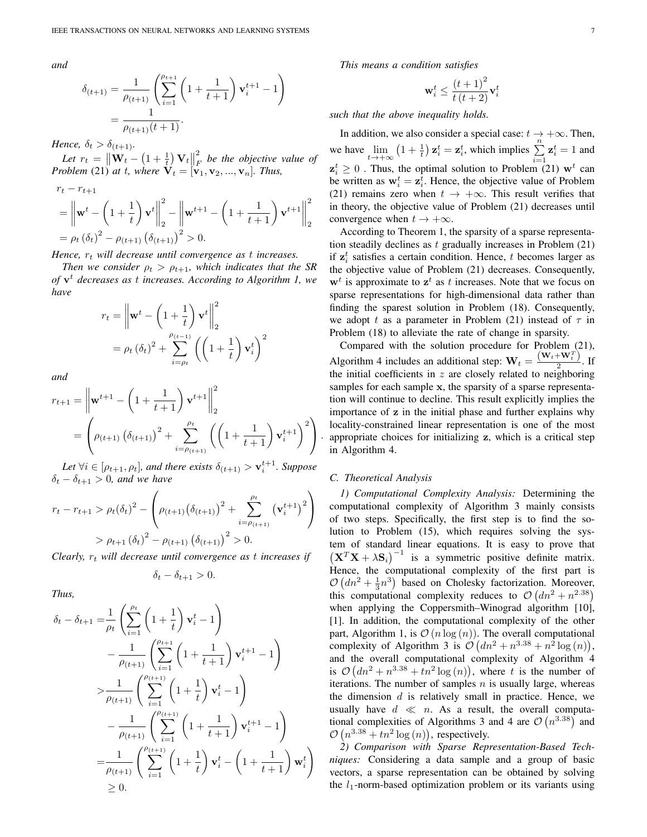*and*

$$
\delta_{(t+1)} = \frac{1}{\rho_{(t+1)}} \left( \sum_{i=1}^{\rho_{t+1}} \left( 1 + \frac{1}{t+1} \right) \mathbf{v}_i^{t+1} - 1 \right)
$$

$$
= \frac{1}{\rho_{(t+1)}(t+1)}.
$$

*Hence,*  $\delta_t > \delta_{(t+1)}$ .

Let  $r_t = \left\| \mathbf{W}_t - \left( 1 + \frac{1}{t} \right) \mathbf{V}_t \right\|$ 2 F *be the objective value of Problem* (21) *at t, where*  $V_t = [v_1, v_2, ..., v_n]$ *. Thus,* 

$$
r_{t} - r_{t+1}
$$
\n
$$
= \left\| \mathbf{w}^{t} - \left( 1 + \frac{1}{t} \right) \mathbf{v}^{t} \right\|_{2}^{2} - \left\| \mathbf{w}^{t+1} - \left( 1 + \frac{1}{t+1} \right) \mathbf{v}^{t+1} \right\|_{2}^{2}
$$
\n
$$
= \rho_{t} \left( \delta_{t} \right)^{2} - \rho_{(t+1)} \left( \delta_{(t+1)} \right)^{2} > 0.
$$

*Hence,*  $r_t$  *will decrease until convergence as t increases.* 

*Then we consider*  $\rho_t > \rho_{t+1}$ *, which indicates that the SR of* v <sup>t</sup> *decreases as* t *increases. According to Algorithm 1, we have*

$$
r_{t} = \left\| \mathbf{w}^{t} - \left( 1 + \frac{1}{t} \right) \mathbf{v}^{t} \right\|_{2}^{2}
$$

$$
= \rho_{t} (\delta_{t})^{2} + \sum_{i=\rho_{t}}^{\rho_{(t-1)}} \left( \left( 1 + \frac{1}{t} \right) \mathbf{v}_{i}^{t} \right)^{2}
$$

*and*

$$
r_{t+1} = \left\| \mathbf{w}^{t+1} - \left( 1 + \frac{1}{t+1} \right) \mathbf{v}^{t+1} \right\|_{2}^{2}
$$
  
= 
$$
\left( \rho_{(t+1)} \left( \delta_{(t+1)} \right)^{2} + \sum_{i=\rho_{(t+1)}}^{\rho_{t}} \left( \left( 1 + \frac{1}{t+1} \right) \mathbf{v}_{i}^{t+1} \right)^{2} \right).
$$

Let  $\forall i \in [\rho_{t+1}, \rho_t]$ , and there exists  $\delta_{(t+1)} > \mathbf{v}_i^{t+1}$ . Suppose  $\delta_t - \delta_{t+1} > 0$ , and we have

$$
r_{t} - r_{t+1} > \rho_{t}(\delta_{t})^{2} - \left(\rho_{(t+1)}(\delta_{(t+1)})^{2} + \sum_{i=\rho_{(t+1)}}^{\rho_{t}} (\mathbf{v}_{i}^{t+1})^{2}\right)
$$

$$
> \rho_{t+1}(\delta_{t})^{2} - \rho_{(t+1)}(\delta_{(t+1)})^{2} > 0.
$$

*Clearly,*  $r_t$  *will decrease until convergence as t increases if* 

$$
\delta_t - \delta_{t+1} > 0.
$$

*Thus,*

$$
\delta_t - \delta_{t+1} = \frac{1}{\rho_t} \left( \sum_{i=1}^{\rho_t} \left( 1 + \frac{1}{t} \right) \mathbf{v}_i^t - 1 \right) \n- \frac{1}{\rho_{(t+1)}} \left( \sum_{i=1}^{\rho_{t+1}} \left( 1 + \frac{1}{t+1} \right) \mathbf{v}_i^{t+1} - 1 \right) \n> \sum_{\rho_{(t+1)}} \left( \sum_{i=1}^{\rho_{(t+1)}} \left( 1 + \frac{1}{t} \right) \mathbf{v}_i^t - 1 \right) \n- \frac{1}{\rho_{(t+1)}} \left( \sum_{i=1}^{\rho_{(t+1)}} \left( 1 + \frac{1}{t+1} \right) \mathbf{v}_i^{t+1} - 1 \right) \n= \frac{1}{\rho_{(t+1)}} \left( \sum_{i=1}^{\rho_{(t+1)}} \left( 1 + \frac{1}{t} \right) \mathbf{v}_i^t - \left( 1 + \frac{1}{t+1} \right) \mathbf{w}_i^t \right) \n\geq 0.
$$

*This means a condition satisfies*

$$
\mathbf{w}_i^t \leq \frac{\left(t+1\right)^2}{t\left(t+2\right)}\mathbf{v}_i^t
$$

*such that the above inequality holds.*

In addition, we also consider a special case:  $t \to +\infty$ . Then, we have  $\lim_{t \to +\infty} (1 + \frac{1}{t}) \mathbf{z}_i^t = \mathbf{z}_i^t$ , which implies  $\sum_{i=1}^n$  $z_i^t = 1$  and  $z_i^t \geq 0$ . Thus, the optimal solution to Problem (21)  $\mathbf{w}^t$  can be written as  $w_i^t = z_i^t$ . Hence, the objective value of Problem (21) remains zero when  $t \to +\infty$ . This result verifies that in theory, the objective value of Problem (21) decreases until convergence when  $t \to +\infty$ .

According to Theorem 1, the sparsity of a sparse representation steadily declines as  $t$  gradually increases in Problem  $(21)$ if  $z_i^t$  satisfies a certain condition. Hence, t becomes larger as the objective value of Problem (21) decreases. Consequently,  $w<sup>t</sup>$  is approximate to  $z<sup>t</sup>$  as t increases. Note that we focus on sparse representations for high-dimensional data rather than finding the sparest solution in Problem (18). Consequently, we adopt t as a parameter in Problem (21) instead of  $\tau$  in Problem (18) to alleviate the rate of change in sparsity.

Compared with the solution procedure for Problem (21), Algorithm 4 includes an additional step:  $\mathbf{W}_t = \frac{(\mathbf{W}_t + \mathbf{W}_t^T)}{2}$  $\frac{1}{2}$ . If the initial coefficients in  $z$  are closely related to neighboring samples for each sample x, the sparsity of a sparse representation will continue to decline. This result explicitly implies the importance of z in the initial phase and further explains why locality-constrained linear representation is one of the most appropriate choices for initializing z, which is a critical step in Algorithm 4.

## *C. Theoretical Analysis*

*1) Computational Complexity Analysis:* Determining the computational complexity of Algorithm 3 mainly consists of two steps. Specifically, the first step is to find the solution to Problem (15), which requires solving the system of standard linear equations. It is easy to prove that  $(X^T X + \lambda S_i)^{-1}$  is a symmetric positive definite matrix. Hence, the computational complexity of the first part is  $\mathcal{O}\left(dn^2 + \frac{1}{3}n^3\right)$  based on Cholesky factorization. Moreover, this computational complexity reduces to  $\mathcal{O}(dn^2 + n^{2.38})$ when applying the Coppersmith–Winograd algorithm [10], [1]. In addition, the computational complexity of the other part, Algorithm 1, is  $\mathcal{O}(n \log(n))$ . The overall computational complexity of Algorithm 3 is  $\mathcal{O}(dn^2 + n^{3.38} + n^2 \log(n)),$ and the overall computational complexity of Algorithm 4 is  $\mathcal{O}(dn^2 + n^{3.38} + tn^2 \log(n))$ , where t is the number of iterations. The number of samples  $n$  is usually large, whereas the dimension  $d$  is relatively small in practice. Hence, we usually have  $d \ll n$ . As a result, the overall computational complexities of Algorithms 3 and 4 are  $\mathcal{O}(n^{3.38})$  and  $\mathcal{O}(n^{3.38} + tn^2 \log(n))$ , respectively.

*2) Comparison with Sparse Representation-Based Techniques:* Considering a data sample and a group of basic vectors, a sparse representation can be obtained by solving the  $l_1$ -norm-based optimization problem or its variants using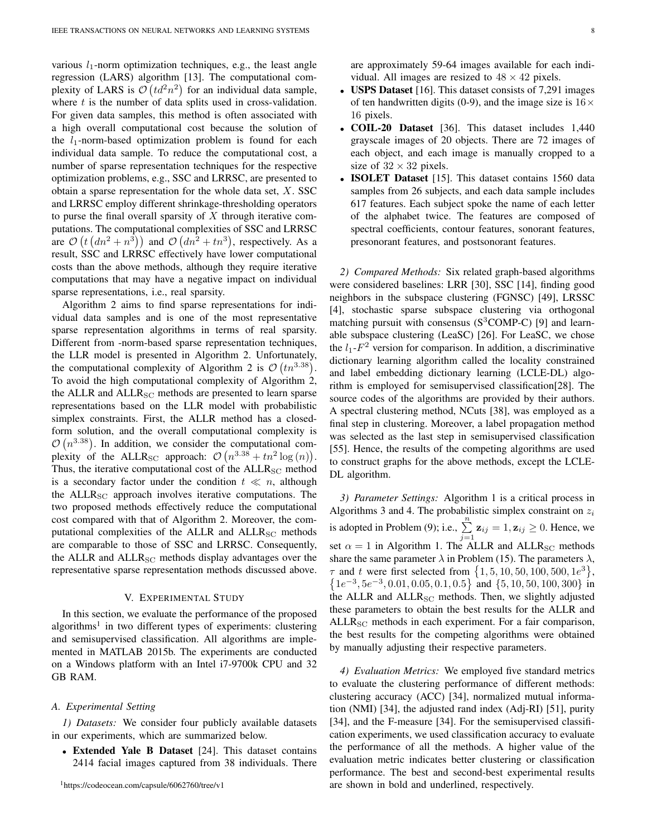various  $l_1$ -norm optimization techniques, e.g., the least angle regression (LARS) algorithm [13]. The computational complexity of LARS is  $\mathcal{O}(td^2n^2)$  for an individual data sample, where  $t$  is the number of data splits used in cross-validation. For given data samples, this method is often associated with a high overall computational cost because the solution of the  $l_1$ -norm-based optimization problem is found for each individual data sample. To reduce the computational cost, a number of sparse representation techniques for the respective optimization problems, e.g., SSC and LRRSC, are presented to obtain a sparse representation for the whole data set,  $X$ . SSC and LRRSC employ different shrinkage-thresholding operators to purse the final overall sparsity of  $X$  through iterative computations. The computational complexities of SSC and LRRSC are  $\mathcal{O}(t (dn^2 + n^3))$  and  $\mathcal{O}(dn^2 + tn^3)$ , respectively. As a result, SSC and LRRSC effectively have lower computational costs than the above methods, although they require iterative computations that may have a negative impact on individual sparse representations, i.e., real sparsity.

Algorithm 2 aims to find sparse representations for individual data samples and is one of the most representative sparse representation algorithms in terms of real sparsity. Different from -norm-based sparse representation techniques, the LLR model is presented in Algorithm 2. Unfortunately, the computational complexity of Algorithm 2 is  $\mathcal{O}(tn^{3.38})$ . To avoid the high computational complexity of Algorithm 2, the ALLR and  $ALLR_{SC}$  methods are presented to learn sparse representations based on the LLR model with probabilistic simplex constraints. First, the ALLR method has a closedform solution, and the overall computational complexity is  $\mathcal{O}(n^{3.38})$ . In addition, we consider the computational complexity of the ALLR<sub>SC</sub> approach:  $\mathcal{O}(n^{3.38} + tn^2 \log(n)).$ Thus, the iterative computational cost of the  $ALLR_{SC}$  method is a secondary factor under the condition  $t \ll n$ , although the ALLR<sub>SC</sub> approach involves iterative computations. The two proposed methods effectively reduce the computational cost compared with that of Algorithm 2. Moreover, the computational complexities of the ALLR and  $ALLR_{SC}$  methods are comparable to those of SSC and LRRSC. Consequently, the ALLR and ALLR<sub>SC</sub> methods display advantages over the representative sparse representation methods discussed above.

# V. EXPERIMENTAL STUDY

In this section, we evaluate the performance of the proposed algorithms<sup>1</sup> in two different types of experiments: clustering and semisupervised classification. All algorithms are implemented in MATLAB 2015b. The experiments are conducted on a Windows platform with an Intel i7-9700k CPU and 32 GB RAM.

#### *A. Experimental Setting*

*1) Datasets:* We consider four publicly available datasets in our experiments, which are summarized below.

• Extended Yale B Dataset [24]. This dataset contains 2414 facial images captured from 38 individuals. There are approximately 59-64 images available for each individual. All images are resized to  $48 \times 42$  pixels.

- USPS Dataset [16]. This dataset consists of 7,291 images of ten handwritten digits (0-9), and the image size is  $16 \times$ 16 pixels.
- COIL-20 Dataset [36]. This dataset includes 1,440 grayscale images of 20 objects. There are 72 images of each object, and each image is manually cropped to a size of  $32 \times 32$  pixels.
- **ISOLET Dataset** [15]. This dataset contains 1560 data samples from 26 subjects, and each data sample includes 617 features. Each subject spoke the name of each letter of the alphabet twice. The features are composed of spectral coefficients, contour features, sonorant features, presonorant features, and postsonorant features.

*2) Compared Methods:* Six related graph-based algorithms were considered baselines: LRR [30], SSC [14], finding good neighbors in the subspace clustering (FGNSC) [49], LRSSC [4], stochastic sparse subspace clustering via orthogonal matching pursuit with consensus  $(S^3COMP-C)$  [9] and learnable subspace clustering (LeaSC) [26]. For LeaSC, we chose the  $l_1$ - $F^2$  version for comparison. In addition, a discriminative dictionary learning algorithm called the locality constrained and label embedding dictionary learning (LCLE-DL) algorithm is employed for semisupervised classification[28]. The source codes of the algorithms are provided by their authors. A spectral clustering method, NCuts [38], was employed as a final step in clustering. Moreover, a label propagation method was selected as the last step in semisupervised classification [55]. Hence, the results of the competing algorithms are used to construct graphs for the above methods, except the LCLE-DL algorithm.

*3) Parameter Settings:* Algorithm 1 is a critical process in Algorithms 3 and 4. The probabilistic simplex constraint on  $z_i$ is adopted in Problem (9); i.e.,  $\sum_{j=1}^{n} z_{ij} = 1, z_{ij} \ge 0$ . Hence, we set  $\alpha = 1$  in Algorithm 1. The ALLR and ALLR<sub>SC</sub> methods share the same parameter  $\lambda$  in Problem (15). The parameters  $\lambda$ ,  $\tau$  and t were first selected from  $\{1, 5, 10, 50, 100, 500, 1e^{3}\},$  $\{1e^{-3}, 5e^{-3}, 0.01, 0.05, 0.1, 0.5\}$  and  $\{5, 10, 50, 100, 300\}$  in the ALLR and  $ALLR_{SC}$  methods. Then, we slightly adjusted these parameters to obtain the best results for the ALLR and  $ALLR_{SC}$  methods in each experiment. For a fair comparison, the best results for the competing algorithms were obtained by manually adjusting their respective parameters.

*4) Evaluation Metrics:* We employed five standard metrics to evaluate the clustering performance of different methods: clustering accuracy (ACC) [34], normalized mutual information (NMI) [34], the adjusted rand index (Adj-RI) [51], purity [34], and the F-measure [34]. For the semisupervised classification experiments, we used classification accuracy to evaluate the performance of all the methods. A higher value of the evaluation metric indicates better clustering or classification performance. The best and second-best experimental results are shown in bold and underlined, respectively.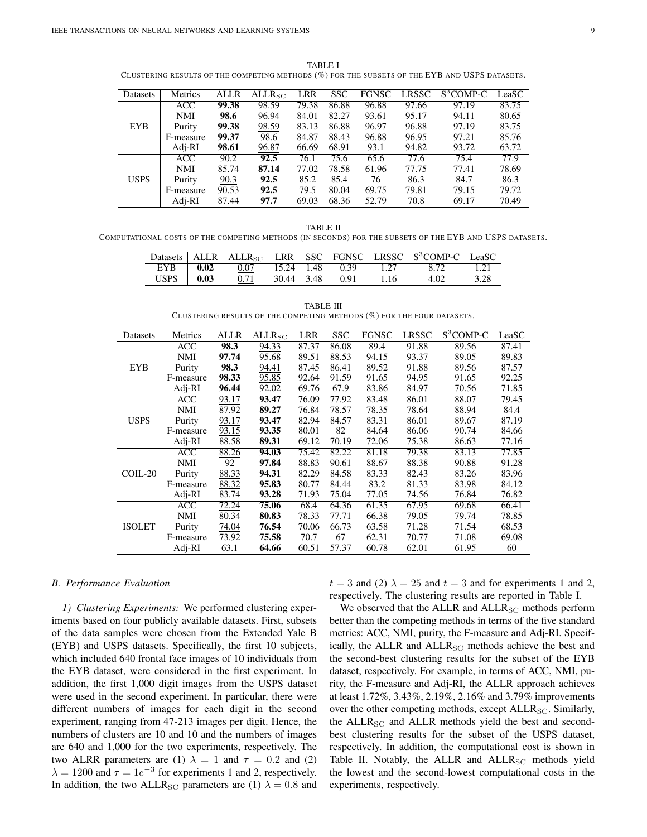TABLE I CLUSTERING RESULTS OF THE COMPETING METHODS (%) FOR THE SUBSETS OF THE EYB AND USPS DATASETS.

| Datasets    | Metrics    | <b>ALLR</b> | $ALLR_{SC}$ | <b>LRR</b> | <b>SSC</b> | <b>FGNSC</b> | <b>LRSSC</b> | S <sup>3</sup> COMP-C | LeaSC |
|-------------|------------|-------------|-------------|------------|------------|--------------|--------------|-----------------------|-------|
|             | <b>ACC</b> | 99.38       | 98.59       | 79.38      | 86.88      | 96.88        | 97.66        | 97.19                 | 83.75 |
|             | <b>NMI</b> | 98.6        | 96.94       | 84.01      | 82.27      | 93.61        | 95.17        | 94.11                 | 80.65 |
| <b>EYB</b>  | Purity     | 99.38       | 98.59       | 83.13      | 86.88      | 96.97        | 96.88        | 97.19                 | 83.75 |
|             | F-measure  | 99.37       | 98.6        | 84.87      | 88.43      | 96.88        | 96.95        | 97.21                 | 85.76 |
|             | Adj-RI     | 98.61       | 96.87       | 66.69      | 68.91      | 93.1         | 94.82        | 93.72                 | 63.72 |
|             | <b>ACC</b> | 90.2        | 92.5        | 76.1       | 75.6       | 65.6         | 77.6         | 75.4                  | 77.9  |
|             | NMI        | 85.74       | 87.14       | 77.02      | 78.58      | 61.96        | 77.75        | 77.41                 | 78.69 |
| <b>USPS</b> | Purity     | 90.3        | 92.5        | 85.2       | 85.4       | 76           | 86.3         | 84.7                  | 86.3  |
|             | F-measure  | 90.53       | 92.5        | 79.5       | 80.04      | 69.75        | 79.81        | 79.15                 | 79.72 |
|             | Adj-RI     | 87.44       | 97.7        | 69.03      | 68.36      | 52.79        | 70.8         | 69.17                 | 70.49 |

TABLE II

COMPUTATIONAL COSTS OF THE COMPETING METHODS (IN SECONDS) FOR THE SUBSETS OF THE EYB AND USPS DATASETS.

| Datasets    | ALLR | . $\Lambda\text{LLR}_{\text{SC}}$ |       |      |      |    | LRR SSC FGNSC LRSSC S <sup>3</sup> COMP-C LeaSC |      |
|-------------|------|-----------------------------------|-------|------|------|----|-------------------------------------------------|------|
| <b>EYB</b>  | 0.02 | 0.07                              | 15.24 | 1.48 | 0.39 |    |                                                 |      |
| <b>USPS</b> | 0.03 | 0.71                              | 30.44 | 3.48 | 0.91 | 16 |                                                 | 3.28 |

TABLE III CLUSTERING RESULTS OF THE COMPETING METHODS (%) FOR THE FOUR DATASETS.

| Datasets                                | Metrics    | <b>ALLR</b> | $\overline{\text{ALLR}}_{\text{SC}}$ | LRR   | <b>SSC</b> | <b>FGNSC</b> | <b>LRSSC</b> | S <sup>3</sup> COMP-C | LeaSC |
|-----------------------------------------|------------|-------------|--------------------------------------|-------|------------|--------------|--------------|-----------------------|-------|
|                                         | <b>ACC</b> | 98.3        | 94.33                                | 87.37 | 86.08      | 89.4         | 91.88        | 89.56                 | 87.41 |
|                                         | <b>NMI</b> | 97.74       | 95.68                                | 89.51 | 88.53      | 94.15        | 93.37        | 89.05                 | 89.83 |
| <b>EYB</b>                              | Purity     | 98.3        | 94.41                                | 87.45 | 86.41      | 89.52        | 91.88        | 89.56                 | 87.57 |
|                                         | F-measure  | 98.33       | 95.85                                | 92.64 | 91.59      | 91.65        | 94.95        | 91.65                 | 92.25 |
| <b>USPS</b><br>COIL-20<br><b>ISOLET</b> | $Adj-RI$   | 96.44       | 92.02                                | 69.76 | 67.9       | 83.86        | 84.97        | 70.56                 | 71.85 |
|                                         | <b>ACC</b> | 93.17       | 93.47                                | 76.09 | 77.92      | 83.48        | 86.01        | 88.07                 | 79.45 |
|                                         | <b>NMI</b> | 87.92       | 89.27                                | 76.84 | 78.57      | 78.35        | 78.64        | 88.94                 | 84.4  |
|                                         | Purity     | 93.17       | 93.47                                | 82.94 | 84.57      | 83.31        | 86.01        | 89.67                 | 87.19 |
|                                         | F-measure  | 93.15       | 93.35                                | 80.01 | 82         | 84.64        | 86.06        | 90.74                 | 84.66 |
|                                         | $Adj-RI$   | 88.58       | 89.31                                | 69.12 | 70.19      | 72.06        | 75.38        | 86.63                 | 77.16 |
|                                         | <b>ACC</b> | 88.26       | 94.03                                | 75.42 | 82.22      | 81.18        | 79.38        | 83.13                 | 77.85 |
|                                         | <b>NMI</b> | 92          | 97.84                                | 88.83 | 90.61      | 88.67        | 88.38        | 90.88                 | 91.28 |
|                                         | Purity     | 88.33       | 94.31                                | 82.29 | 84.58      | 83.33        | 82.43        | 83.26                 | 83.96 |
|                                         | F-measure  | 88.32       | 95.83                                | 80.77 | 84.44      | 83.2         | 81.33        | 83.98                 | 84.12 |
|                                         | $Adj-RI$   | 83.74       | 93.28                                | 71.93 | 75.04      | 77.05        | 74.56        | 76.84                 | 76.82 |
|                                         | <b>ACC</b> | 72.24       | 75.06                                | 68.4  | 64.36      | 61.35        | 67.95        | 69.68                 | 66.41 |
|                                         | <b>NMI</b> | 80.34       | 80.83                                | 78.33 | 77.71      | 66.38        | 79.05        | 79.74                 | 78.85 |
|                                         | Purity     | 74.04       | 76.54                                | 70.06 | 66.73      | 63.58        | 71.28        | 71.54                 | 68.53 |
|                                         | F-measure  | 73.92       | 75.58                                | 70.7  | 67         | 62.31        | 70.77        | 71.08                 | 69.08 |
|                                         | Adj-RI     | 63.1        | 64.66                                | 60.51 | 57.37      | 60.78        | 62.01        | 61.95                 | 60    |

#### *B. Performance Evaluation*

*1) Clustering Experiments:* We performed clustering experiments based on four publicly available datasets. First, subsets of the data samples were chosen from the Extended Yale B (EYB) and USPS datasets. Specifically, the first 10 subjects, which included 640 frontal face images of 10 individuals from the EYB dataset, were considered in the first experiment. In addition, the first 1,000 digit images from the USPS dataset were used in the second experiment. In particular, there were different numbers of images for each digit in the second experiment, ranging from 47-213 images per digit. Hence, the numbers of clusters are 10 and 10 and the numbers of images are 640 and 1,000 for the two experiments, respectively. The two ALRR parameters are (1)  $\lambda = 1$  and  $\tau = 0.2$  and (2)  $\lambda = 1200$  and  $\tau = 1e^{-3}$  for experiments 1 and 2, respectively. In addition, the two ALLR<sub>SC</sub> parameters are (1)  $\lambda = 0.8$  and  $t = 3$  and (2)  $\lambda = 25$  and  $t = 3$  and for experiments 1 and 2, respectively. The clustering results are reported in Table I.

We observed that the ALLR and  $ALLR_{SC}$  methods perform better than the competing methods in terms of the five standard metrics: ACC, NMI, purity, the F-measure and Adj-RI. Specifically, the ALLR and  $ALLR_{SC}$  methods achieve the best and the second-best clustering results for the subset of the EYB dataset, respectively. For example, in terms of ACC, NMI, purity, the F-measure and Adj-RI, the ALLR approach achieves at least 1.72%, 3.43%, 2.19%, 2.16% and 3.79% improvements over the other competing methods, except ALLR<sub>SC</sub>. Similarly, the  $ALLR_{SC}$  and  $ALLR$  methods yield the best and secondbest clustering results for the subset of the USPS dataset, respectively. In addition, the computational cost is shown in Table II. Notably, the ALLR and ALLR<sub>SC</sub> methods yield the lowest and the second-lowest computational costs in the experiments, respectively.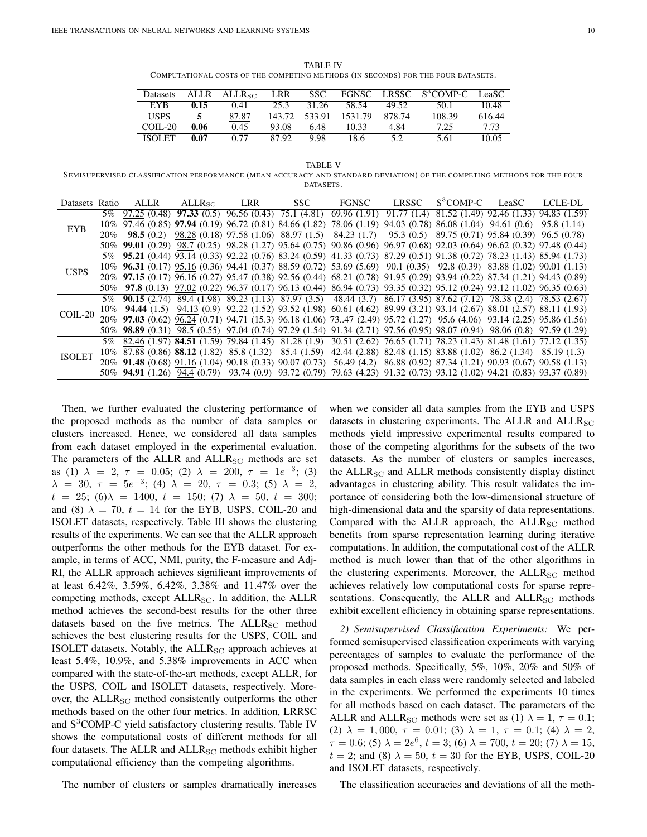TABLE IV COMPUTATIONAL COSTS OF THE COMPETING METHODS (IN SECONDS) FOR THE FOUR DATASETS.

| Datasets      | <b>ALLR</b> | $ALLR$ sc | LRR     | SSC.   | <b>FGNSC</b> | <b>LRSSC</b> | S <sup>3</sup> COMP-C | LeaSC  |
|---------------|-------------|-----------|---------|--------|--------------|--------------|-----------------------|--------|
| <b>EYB</b>    | 0.15        | 0.41      | 25.3    | 31.26  | 58.54        | 49.52        | 50.1                  | 10.48  |
| <b>USPS</b>   |             | 87.87     | 143.72. | 533.91 | 1531.79      | 878.74       | 108.39                | 616.44 |
| $COLL-20$     | 0.06        | 0.45      | 93.08   | 6.48   | 10.33        | 4.84         | 7.25                  | 7 73   |
| <b>ISOLET</b> | 0.07        | 0.77      | 87.92   | 9.98   | 18.6         |              | 5.61                  | 10.05  |

TABLE V

SEMISUPERVISED CLASSIFICATION PERFORMANCE (MEAN ACCURACY AND STANDARD DEVIATION) OF THE COMPETING METHODS FOR THE FOUR DATASETS.

|                                          | Ratio | $\mathrm{ALLR}_{\mathrm{SC}}$ | <b>LRR</b> | SSC | FGNSC                                                                                                                      | LRSSC | S <sup>3</sup> COMP-C LeaSC | LCLE-DL |
|------------------------------------------|-------|-------------------------------|------------|-----|----------------------------------------------------------------------------------------------------------------------------|-------|-----------------------------|---------|
|                                          | 5%    |                               |            |     | $97.25(0.48)$ $97.33(0.5)$ $96.56(0.43)$ $75.1(4.81)$ $69.96(1.91)$ $91.77(1.4)$ $81.52(1.49)$ $92.46(1.33)$ $94.83(1.59)$ |       |                             |         |
|                                          |       |                               |            |     | 10% 97.46 (0.85) 97.94 (0.19) 96.72 (0.81) 84.66 (1.82) 78.06 (1.19) 94.03 (0.78) 86.08 (1.04) 94.61 (0.6) 95.8 (1.14)     |       |                             |         |
|                                          |       |                               |            |     | 20% 98.5 (0.2) 98.28 (0.18) 97.58 (1.06) 88.97 (1.5) 84.23 (1.7) 95.3 (0.5) 89.75 (0.71) 95.84 (0.39) 96.5 (0.78)          |       |                             |         |
|                                          |       |                               |            |     | 50% 99.01 (0.29) 98.7 (0.25) 98.28 (1.27) 95.64 (0.75) 90.86 (0.96) 96.97 (0.68) 92.03 (0.64) 96.62 (0.32) 97.48 (0.44)    |       |                             |         |
|                                          |       |                               |            |     | 5% 95.21 (0.44) 93.14 (0.33) 92.22 (0.76) 83.24 (0.59) 41.33 (0.73) 87.29 (0.51) 91.38 (0.72) 78.23 (1.43) 85.94 (1.73)    |       |                             |         |
| <b>USPS</b>                              |       |                               |            |     | 10% 96.31 (0.17) 95.16 (0.36) 94.41 (0.37) 88.59 (0.72) 53.69 (5.69) 90.1 (0.35) 92.8 (0.39) 83.88 (1.02) 90.01 (1.13)     |       |                             |         |
|                                          |       |                               |            |     | 20% 97.15 (0.17) 96.16 (0.27) 95.47 (0.38) 92.56 (0.44) 68.21 (0.78) 91.95 (0.29) 93.94 (0.22) 87.34 (1.21) 94.43 (0.89)   |       |                             |         |
| <b>EYB</b><br>$COLL-20$<br><b>ISOLET</b> |       |                               |            |     | 50% 97.8 (0.13) 97.02 (0.22) 96.37 (0.17) 96.13 (0.44) 86.94 (0.73) 93.35 (0.32) 95.12 (0.24) 93.12 (1.02) 96.35 (0.63)    |       |                             |         |
|                                          |       |                               |            |     | 5% 90.15 (2.74) 89.4 (1.98) 89.23 (1.13) 87.97 (3.5) 48.44 (3.7) 86.17 (3.95) 87.62 (7.12) 78.38 (2.4) 78.53 (2.67)        |       |                             |         |
|                                          |       |                               |            |     | 10% 94.44 (1.5) 94.13 (0.9) 92.22 (1.52) 93.52 (1.98) 60.61 (4.62) 89.99 (3.21) 93.14 (2.67) 88.01 (2.57) 88.11 (1.93)     |       |                             |         |
|                                          |       |                               |            |     | 20% 97.03 (0.62) 96.24 (0.71) 94.71 (15.3) 96.18 (1.06) 7347 (2.49) 95.72 (1.27) 95.6 (4.06) 93.14 (2.25) 95.86 (1.56)     |       |                             |         |
|                                          |       |                               |            |     | 50% 98.89 (0.31) 98.5 (0.55) 97.04 (0.74) 97.29 (1.54) 91.34 (2.71) 97.56 (0.95) 98.07 (0.94) 98.06 (0.8) 97.59 (1.29)     |       |                             |         |
| Datasets                                 |       |                               |            |     | 5% 82.46 (1.97) 84.51 (1.59) 79.84 (1.45) 81.28 (1.9) 30.51 (2.62) 76.65 (1.71) 78.23 (1.43) 81.48 (1.61) 77.12 (1.35)     |       |                             |         |
|                                          |       |                               |            |     | 10% 87.88 (0.86) 88.12 (1.82) 85.8 (1.32) 85.4 (1.59) 42.44 (2.88) 82.48 (1.15) 83.88 (1.02) 86.2 (1.34) 85.19 (1.3)       |       |                             |         |
|                                          |       |                               |            |     | 20% 91.48 (0.68) 91.16 (1.04) 90.18 (0.33) 90.07 (0.73) 56.49 (4.2) 86.88 (0.92) 87.34 (1.21) 90.93 (0.67) 90.58 (1.13)    |       |                             |         |
|                                          |       |                               |            |     | 50% 94.91 (1.26) 94.4 (0.79) 93.74 (0.9) 93.72 (0.79) 79.63 (4.23) 91.32 (0.73) 93.12 (1.02) 94.21 (0.83) 93.37 (0.89)     |       |                             |         |

Then, we further evaluated the clustering performance of the proposed methods as the number of data samples or clusters increased. Hence, we considered all data samples from each dataset employed in the experimental evaluation. The parameters of the ALLR and  $ALLR_{SC}$  methods are set as (1)  $\lambda = 2, \tau = 0.05;$  (2)  $\lambda = 200, \tau = 1e^{-3};$  (3)  $\lambda = 30, \tau = 5e^{-3}$ ; (4)  $\lambda = 20, \tau = 0.3$ ; (5)  $\lambda = 2$ ,  $t = 25$ ; (6) $\lambda = 1400$ ,  $t = 150$ ; (7)  $\lambda = 50$ ,  $t = 300$ ; and (8)  $\lambda = 70$ ,  $t = 14$  for the EYB, USPS, COIL-20 and ISOLET datasets, respectively. Table III shows the clustering results of the experiments. We can see that the ALLR approach outperforms the other methods for the EYB dataset. For example, in terms of ACC, NMI, purity, the F-measure and Adj-RI, the ALLR approach achieves significant improvements of at least 6.42%, 3.59%, 6.42%, 3.38% and 11.47% over the competing methods, except  $ALLR_{SC}$ . In addition, the  $ALLR$ method achieves the second-best results for the other three datasets based on the five metrics. The  $ALLR_{SC}$  method achieves the best clustering results for the USPS, COIL and ISOLET datasets. Notably, the  $ALLR_{SC}$  approach achieves at least 5.4%, 10.9%, and 5.38% improvements in ACC when compared with the state-of-the-art methods, except ALLR, for the USPS, COIL and ISOLET datasets, respectively. Moreover, the  $ALLR_{SC}$  method consistently outperforms the other methods based on the other four metrics. In addition, LRRSC and S<sup>3</sup>COMP-C yield satisfactory clustering results. Table IV shows the computational costs of different methods for all four datasets. The ALLR and  $ALLR_{SC}$  methods exhibit higher computational efficiency than the competing algorithms.

The number of clusters or samples dramatically increases

when we consider all data samples from the EYB and USPS datasets in clustering experiments. The ALLR and  $ALLR_{SC}$ methods yield impressive experimental results compared to those of the competing algorithms for the subsets of the two datasets. As the number of clusters or samples increases, the  $ALLR_{SC}$  and  $ALLR$  methods consistently display distinct advantages in clustering ability. This result validates the importance of considering both the low-dimensional structure of high-dimensional data and the sparsity of data representations. Compared with the ALLR approach, the  $ALLR_{SC}$  method benefits from sparse representation learning during iterative computations. In addition, the computational cost of the ALLR method is much lower than that of the other algorithms in the clustering experiments. Moreover, the  $ALLR_{SC}$  method achieves relatively low computational costs for sparse representations. Consequently, the ALLR and  $ALLR_{SC}$  methods exhibit excellent efficiency in obtaining sparse representations.

*2) Semisupervised Classification Experiments:* We performed semisupervised classification experiments with varying percentages of samples to evaluate the performance of the proposed methods. Specifically, 5%, 10%, 20% and 50% of data samples in each class were randomly selected and labeled in the experiments. We performed the experiments 10 times for all methods based on each dataset. The parameters of the ALLR and ALLR<sub>SC</sub> methods were set as (1)  $\lambda = 1$ ,  $\tau = 0.1$ ; (2)  $\lambda = 1,000, \tau = 0.01;$  (3)  $\lambda = 1, \tau = 0.1;$  (4)  $\lambda = 2,$  $\tau = 0.6$ ; (5)  $\lambda = 2e^6$ ,  $t = 3$ ; (6)  $\lambda = 700$ ,  $t = 20$ ; (7)  $\lambda = 15$ ,  $t = 2$ ; and (8)  $\lambda = 50$ ,  $t = 30$  for the EYB, USPS, COIL-20 and ISOLET datasets, respectively.

The classification accuracies and deviations of all the meth-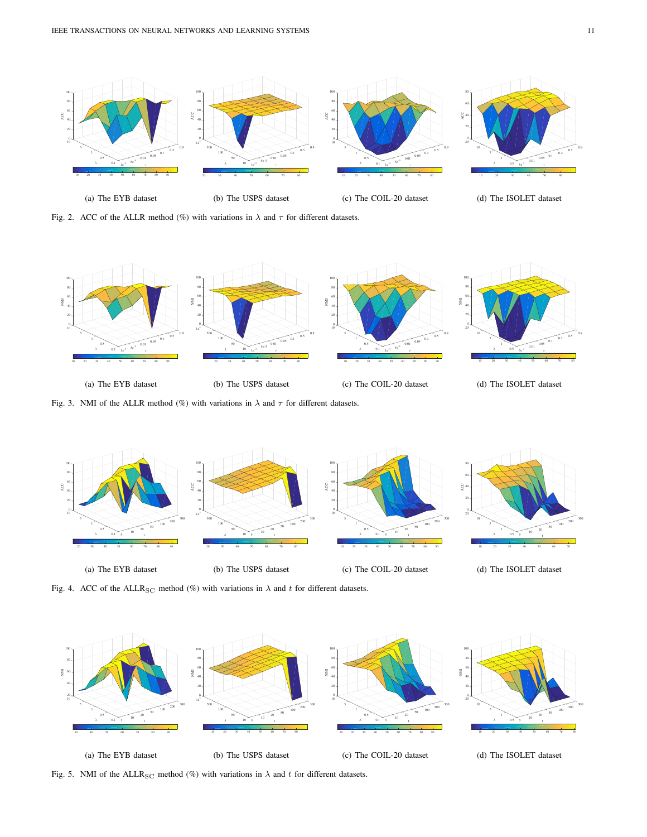

Fig. 2. ACC of the ALLR method (%) with variations in  $\lambda$  and  $\tau$  for different datasets.



Fig. 3. NMI of the ALLR method (%) with variations in  $\lambda$  and  $\tau$  for different datasets.



Fig. 4. ACC of the ALLR<sub>SC</sub> method (%) with variations in  $\lambda$  and t for different datasets.



Fig. 5. NMI of the ALLR<sub>SC</sub> method (%) with variations in  $\lambda$  and t for different datasets.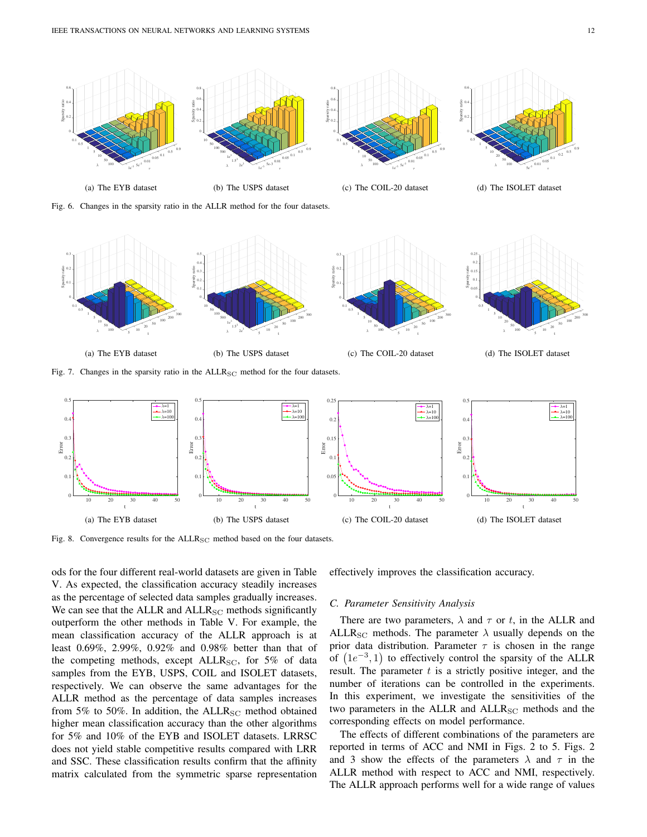

Fig. 6. Changes in the sparsity ratio in the ALLR method for the four datasets.



Fig. 7. Changes in the sparsity ratio in the ALLR<sub>SC</sub> method for the four datasets.



Fig. 8. Convergence results for the  $ALLR_{SC}$  method based on the four datasets.

ods for the four different real-world datasets are given in Table V. As expected, the classification accuracy steadily increases as the percentage of selected data samples gradually increases. We can see that the ALLR and  $ALLR_{SC}$  methods significantly outperform the other methods in Table V. For example, the mean classification accuracy of the ALLR approach is at least 0.69%, 2.99%, 0.92% and 0.98% better than that of the competing methods, except  $ALLR_{SC}$ , for 5% of data samples from the EYB, USPS, COIL and ISOLET datasets, respectively. We can observe the same advantages for the ALLR method as the percentage of data samples increases from 5% to 50%. In addition, the  $ALLR_{SC}$  method obtained higher mean classification accuracy than the other algorithms for 5% and 10% of the EYB and ISOLET datasets. LRRSC does not yield stable competitive results compared with LRR and SSC. These classification results confirm that the affinity matrix calculated from the symmetric sparse representation effectively improves the classification accuracy.

#### *C. Parameter Sensitivity Analysis*

There are two parameters,  $\lambda$  and  $\tau$  or t, in the ALLR and ALLR<sub>SC</sub> methods. The parameter  $\lambda$  usually depends on the prior data distribution. Parameter  $\tau$  is chosen in the range of  $(1e^{-3}, 1)$  to effectively control the sparsity of the ALLR result. The parameter  $t$  is a strictly positive integer, and the number of iterations can be controlled in the experiments. In this experiment, we investigate the sensitivities of the two parameters in the ALLR and  $ALLR<sub>SC</sub>$  methods and the corresponding effects on model performance.

The effects of different combinations of the parameters are reported in terms of ACC and NMI in Figs. 2 to 5. Figs. 2 and 3 show the effects of the parameters  $\lambda$  and  $\tau$  in the ALLR method with respect to ACC and NMI, respectively. The ALLR approach performs well for a wide range of values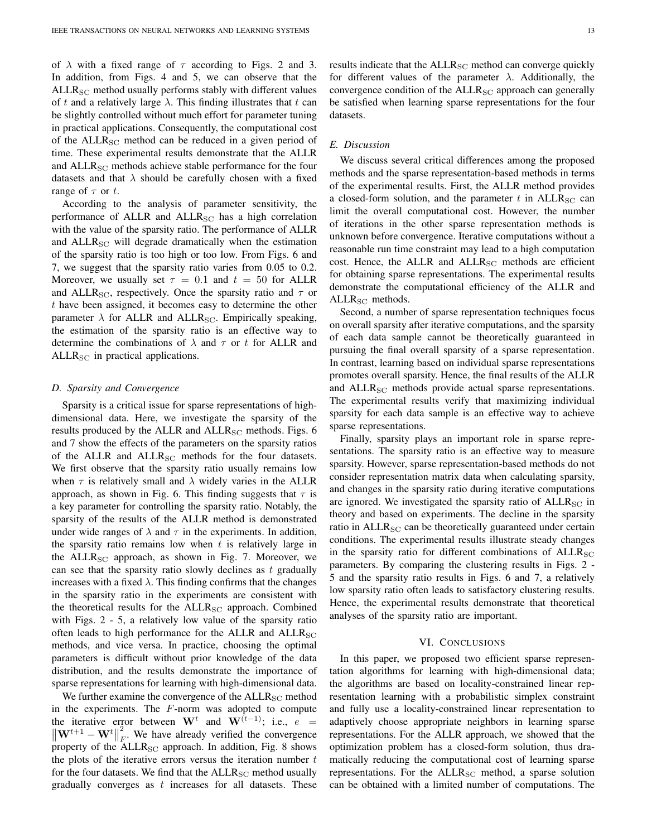of  $\lambda$  with a fixed range of  $\tau$  according to Figs. 2 and 3. In addition, from Figs. 4 and 5, we can observe that the  $ALLR<sub>SC</sub>$  method usually performs stably with different values of t and a relatively large  $\lambda$ . This finding illustrates that t can be slightly controlled without much effort for parameter tuning in practical applications. Consequently, the computational cost of the  $ALLR_{SC}$  method can be reduced in a given period of time. These experimental results demonstrate that the ALLR and ALLR<sub>SC</sub> methods achieve stable performance for the four datasets and that  $\lambda$  should be carefully chosen with a fixed range of  $\tau$  or t.

According to the analysis of parameter sensitivity, the performance of ALLR and  $ALLR_{SC}$  has a high correlation with the value of the sparsity ratio. The performance of ALLR and ALLR<sub>SC</sub> will degrade dramatically when the estimation of the sparsity ratio is too high or too low. From Figs. 6 and 7, we suggest that the sparsity ratio varies from 0.05 to 0.2. Moreover, we usually set  $\tau = 0.1$  and  $t = 50$  for ALLR and ALLR<sub>SC</sub>, respectively. Once the sparsity ratio and  $\tau$  or t have been assigned, it becomes easy to determine the other parameter  $\lambda$  for ALLR and ALLR<sub>SC</sub>. Empirically speaking, the estimation of the sparsity ratio is an effective way to determine the combinations of  $\lambda$  and  $\tau$  or t for ALLR and  $ALLR<sub>SC</sub>$  in practical applications.

## *D. Sparsity and Convergence*

Sparsity is a critical issue for sparse representations of highdimensional data. Here, we investigate the sparsity of the results produced by the ALLR and  $ALLR_{SC}$  methods. Figs. 6 and 7 show the effects of the parameters on the sparsity ratios of the ALLR and ALLR<sub>SC</sub> methods for the four datasets. We first observe that the sparsity ratio usually remains low when  $\tau$  is relatively small and  $\lambda$  widely varies in the ALLR approach, as shown in Fig. 6. This finding suggests that  $\tau$  is a key parameter for controlling the sparsity ratio. Notably, the sparsity of the results of the ALLR method is demonstrated under wide ranges of  $\lambda$  and  $\tau$  in the experiments. In addition, the sparsity ratio remains low when  $t$  is relatively large in the  $ALLR_{SC}$  approach, as shown in Fig. 7. Moreover, we can see that the sparsity ratio slowly declines as  $t$  gradually increases with a fixed  $\lambda$ . This finding confirms that the changes in the sparsity ratio in the experiments are consistent with the theoretical results for the  $ALLR_{SC}$  approach. Combined with Figs. 2 - 5, a relatively low value of the sparsity ratio often leads to high performance for the ALLR and  $ALLR_{SC}$ methods, and vice versa. In practice, choosing the optimal parameters is difficult without prior knowledge of the data distribution, and the results demonstrate the importance of sparse representations for learning with high-dimensional data.

We further examine the convergence of the  $ALLR_{SC}$  method in the experiments. The  $F$ -norm was adopted to compute the iterative error between  $\mathbf{W}^{t}$  and  $\mathbf{W}^{(t-1)}$ ; i.e.,  $e =$  $\left\Vert \mathbf{W}^{t+1}-\mathbf{W}^{t}\right\Vert$ 2  $\overline{F}$ . We have already verified the convergence property of the  $ALLR_{SC}$  approach. In addition, Fig. 8 shows the plots of the iterative errors versus the iteration number  $t$ for the four datasets. We find that the  $ALLR_{SC}$  method usually gradually converges as  $t$  increases for all datasets. These results indicate that the  $ALLR_{SC}$  method can converge quickly for different values of the parameter  $\lambda$ . Additionally, the convergence condition of the  $ALLR_{SC}$  approach can generally be satisfied when learning sparse representations for the four datasets.

## *E. Discussion*

We discuss several critical differences among the proposed methods and the sparse representation-based methods in terms of the experimental results. First, the ALLR method provides a closed-form solution, and the parameter t in  $ALLR_{SC}$  can limit the overall computational cost. However, the number of iterations in the other sparse representation methods is unknown before convergence. Iterative computations without a reasonable run time constraint may lead to a high computation cost. Hence, the ALLR and  $ALLR_{SC}$  methods are efficient for obtaining sparse representations. The experimental results demonstrate the computational efficiency of the ALLR and  $ALLR<sub>SC</sub>$  methods.

Second, a number of sparse representation techniques focus on overall sparsity after iterative computations, and the sparsity of each data sample cannot be theoretically guaranteed in pursuing the final overall sparsity of a sparse representation. In contrast, learning based on individual sparse representations promotes overall sparsity. Hence, the final results of the ALLR and ALLR<sub>SC</sub> methods provide actual sparse representations. The experimental results verify that maximizing individual sparsity for each data sample is an effective way to achieve sparse representations.

Finally, sparsity plays an important role in sparse representations. The sparsity ratio is an effective way to measure sparsity. However, sparse representation-based methods do not consider representation matrix data when calculating sparsity, and changes in the sparsity ratio during iterative computations are ignored. We investigated the sparsity ratio of  $ALLR_{SC}$  in theory and based on experiments. The decline in the sparsity ratio in  $ALLR<sub>SC</sub>$  can be theoretically guaranteed under certain conditions. The experimental results illustrate steady changes in the sparsity ratio for different combinations of  $ALLR_{SC}$ parameters. By comparing the clustering results in Figs. 2 - 5 and the sparsity ratio results in Figs. 6 and 7, a relatively low sparsity ratio often leads to satisfactory clustering results. Hence, the experimental results demonstrate that theoretical analyses of the sparsity ratio are important.

## VI. CONCLUSIONS

In this paper, we proposed two efficient sparse representation algorithms for learning with high-dimensional data; the algorithms are based on locality-constrained linear representation learning with a probabilistic simplex constraint and fully use a locality-constrained linear representation to adaptively choose appropriate neighbors in learning sparse representations. For the ALLR approach, we showed that the optimization problem has a closed-form solution, thus dramatically reducing the computational cost of learning sparse representations. For the  $ALLR_{SC}$  method, a sparse solution can be obtained with a limited number of computations. The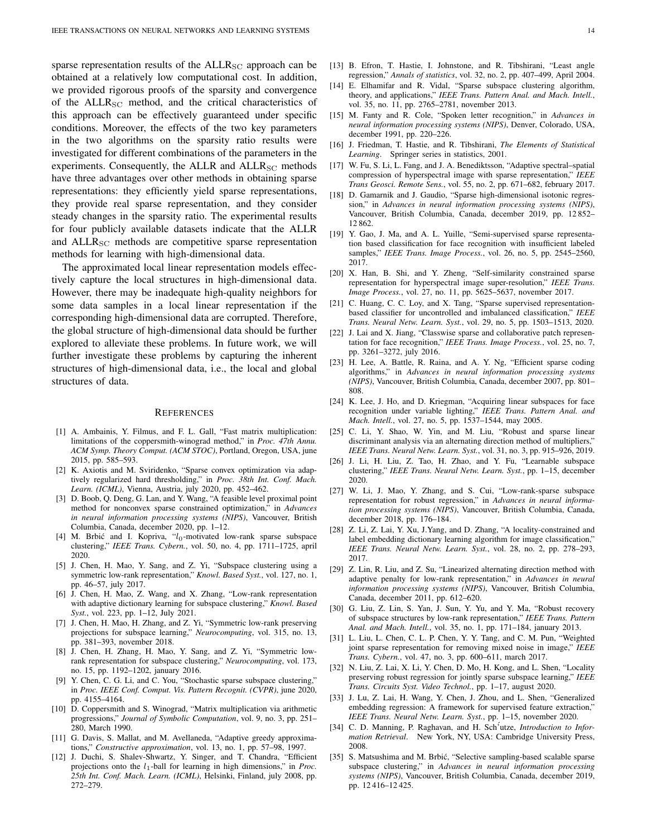sparse representation results of the  $ALLR<sub>SC</sub>$  approach can be obtained at a relatively low computational cost. In addition, we provided rigorous proofs of the sparsity and convergence of the  $ALLR_{SC}$  method, and the critical characteristics of this approach can be effectively guaranteed under specific conditions. Moreover, the effects of the two key parameters in the two algorithms on the sparsity ratio results were investigated for different combinations of the parameters in the experiments. Consequently, the ALLR and  $ALLR_{SC}$  methods have three advantages over other methods in obtaining sparse representations: they efficiently yield sparse representations, they provide real sparse representation, and they consider steady changes in the sparsity ratio. The experimental results for four publicly available datasets indicate that the ALLR and  $ALLR_{SC}$  methods are competitive sparse representation methods for learning with high-dimensional data.

The approximated local linear representation models effectively capture the local structures in high-dimensional data. However, there may be inadequate high-quality neighbors for some data samples in a local linear representation if the corresponding high-dimensional data are corrupted. Therefore, the global structure of high-dimensional data should be further explored to alleviate these problems. In future work, we will further investigate these problems by capturing the inherent structures of high-dimensional data, i.e., the local and global structures of data.

#### **REFERENCES**

- [1] A. Ambainis, Y. Filmus, and F. L. Gall, "Fast matrix multiplication: limitations of the coppersmith-winograd method," in *Proc. 47th Annu. ACM Symp. Theory Comput. (ACM STOC)*, Portland, Oregon, USA, june 2015, pp. 585–593.
- [2] K. Axiotis and M. Sviridenko, "Sparse convex optimization via adaptively regularized hard thresholding," in *Proc. 38th Int. Conf. Mach. Learn. (ICML)*, Vienna, Austria, july 2020, pp. 452–462.
- [3] D. Boob, Q. Deng, G. Lan, and Y. Wang, "A feasible level proximal point method for nonconvex sparse constrained optimization," in *Advances in neural information processing systems (NIPS)*, Vancouver, British Columbia, Canada, december 2020, pp. 1–12.
- [4] M. Brbić and I. Kopriva,  $l_0$ -motivated low-rank sparse subspace clustering," *IEEE Trans. Cybern.*, vol. 50, no. 4, pp. 1711–1725, april 2020.
- [5] J. Chen, H. Mao, Y. Sang, and Z. Yi, "Subspace clustering using a symmetric low-rank representation," *Knowl. Based Syst.*, vol. 127, no. 1, pp. 46–57, july 2017.
- [6] J. Chen, H. Mao, Z. Wang, and X. Zhang, "Low-rank representation with adaptive dictionary learning for subspace clustering," *Knowl. Based Syst.*, vol. 223, pp. 1–12, July 2021.
- [7] J. Chen, H. Mao, H. Zhang, and Z. Yi, "Symmetric low-rank preserving projections for subspace learning," *Neurocomputing*, vol. 315, no. 13, pp. 381–393, november 2018.
- [8] J. Chen, H. Zhang, H. Mao, Y. Sang, and Z. Yi, "Symmetric lowrank representation for subspace clustering," *Neurocomputing*, vol. 173, no. 15, pp. 1192–1202, january 2016.
- Y. Chen, C. G. Li, and C. You, "Stochastic sparse subspace clustering," in *Proc. IEEE Conf. Comput. Vis. Pattern Recognit. (CVPR)*, june 2020, pp. 4155–4164.
- [10] D. Coppersmith and S. Winograd, "Matrix multiplication via arithmetic progressions," *Journal of Symbolic Computation*, vol. 9, no. 3, pp. 251– 280, March 1990.
- [11] G. Davis, S. Mallat, and M. Avellaneda, "Adaptive greedy approximations," *Constructive approximation*, vol. 13, no. 1, pp. 57–98, 1997.
- [12] J. Duchi, S. Shalev-Shwartz, Y. Singer, and T. Chandra, "Efficient projections onto the l1-ball for learning in high dimensions," in *Proc. 25th Int. Conf. Mach. Learn. (ICML)*, Helsinki, Finland, july 2008, pp. 272–279.
- [13] B. Efron, T. Hastie, I. Johnstone, and R. Tibshirani, "Least angle regression," *Annals of statistics*, vol. 32, no. 2, pp. 407–499, April 2004.
- [14] E. Elhamifar and R. Vidal, "Sparse subspace clustering algorithm, theory, and applications," *IEEE Trans. Pattern Anal. and Mach. Intell.*, vol. 35, no. 11, pp. 2765–2781, november 2013.
- [15] M. Fanty and R. Cole, "Spoken letter recognition," in *Advances in neural information processing systems (NIPS)*, Denver, Colorado, USA, december 1991, pp. 220–226.
- [16] J. Friedman, T. Hastie, and R. Tibshirani, *The Elements of Statistical Learning*. Springer series in statistics, 2001.
- [17] W. Fu, S. Li, L. Fang, and J. A. Benediktsson, "Adaptive spectral–spatial compression of hyperspectral image with sparse representation," *IEEE Trans Geosci. Remote Sens.*, vol. 55, no. 2, pp. 671–682, february 2017.
- [18] D. Gamarnik and J. Gaudio, "Sparse high-dimensional isotonic regression," in *Advances in neural information processing systems (NIPS)*, Vancouver, British Columbia, Canada, december 2019, pp. 12 852– 12 862.
- [19] Y. Gao, J. Ma, and A. L. Yuille, "Semi-supervised sparse representation based classification for face recognition with insufficient labeled samples," *IEEE Trans. Image Process.*, vol. 26, no. 5, pp. 2545–2560, 2017.
- [20] X. Han, B. Shi, and Y. Zheng, "Self-similarity constrained sparse representation for hyperspectral image super-resolution," *IEEE Trans. Image Process.*, vol. 27, no. 11, pp. 5625–5637, november 2017.
- [21] C. Huang, C. C. Loy, and X. Tang, "Sparse supervised representationbased classifier for uncontrolled and imbalanced classification," *IEEE Trans. Neural Netw. Learn. Syst.*, vol. 29, no. 5, pp. 1503–1513, 2020.
- [22] J. Lai and X. Jiang, "Classwise sparse and collaborative patch representation for face recognition," *IEEE Trans. Image Process.*, vol. 25, no. 7, pp. 3261–3272, july 2016.
- [23] H. Lee, A. Battle, R. Raina, and A. Y. Ng, "Efficient sparse coding algorithms," in *Advances in neural information processing systems (NIPS)*, Vancouver, British Columbia, Canada, december 2007, pp. 801– 808.
- [24] K. Lee, J. Ho, and D. Kriegman, "Acquiring linear subspaces for face recognition under variable lighting," *IEEE Trans. Pattern Anal. and Mach. Intell.*, vol. 27, no. 5, pp. 1537–1544, may 2005.
- [25] C. Li, Y. Shao, W. Yin, and M. Liu, "Robust and sparse linear discriminant analysis via an alternating direction method of multipliers," *IEEE Trans. Neural Netw. Learn. Syst.*, vol. 31, no. 3, pp. 915–926, 2019.
- [26] J. Li, H. Liu, Z. Tao, H. Zhao, and Y. Fu, "Learnable subspace clustering," *IEEE Trans. Neural Netw. Learn. Syst.*, pp. 1–15, december 2020.
- [27] W. Li, J. Mao, Y. Zhang, and S. Cui, "Low-rank-sparse subspace representation for robust regression," in *Advances in neural information processing systems (NIPS)*, Vancouver, British Columbia, Canada, december 2018, pp. 176–184.
- [28] Z. Li, Z. Lai, Y. Xu, J. Yang, and D. Zhang, "A locality-constrained and label embedding dictionary learning algorithm for image classification," *IEEE Trans. Neural Netw. Learn. Syst.*, vol. 28, no. 2, pp. 278–293, 2017.
- [29] Z. Lin, R. Liu, and Z. Su, "Linearized alternating direction method with adaptive penalty for low-rank representation," in *Advances in neural information processing systems (NIPS)*, Vancouver, British Columbia, Canada, december 2011, pp. 612–620.
- [30] G. Liu, Z. Lin, S. Yan, J. Sun, Y. Yu, and Y. Ma, "Robust recovery of subspace structures by low-rank representation," *IEEE Trans. Pattern Anal. and Mach. Intell.*, vol. 35, no. 1, pp. 171–184, january 2013.
- [31] L. Liu, L. Chen, C. L. P. Chen, Y. Y. Tang, and C. M. Pun, "Weighted joint sparse representation for removing mixed noise in image," *IEEE Trans. Cybern.*, vol. 47, no. 3, pp. 600–611, march 2017.
- [32] N. Liu, Z. Lai, X. Li, Y. Chen, D. Mo, H. Kong, and L. Shen, "Locality preserving robust regression for jointly sparse subspace learning," *IEEE Trans. Circuits Syst. Video Technol.*, pp. 1–17, august 2020.
- [33] J. Lu, Z. Lai, H. Wang, Y. Chen, J. Zhou, and L. Shen, "Generalized embedding regression: A framework for supervised feature extraction," *IEEE Trans. Neural Netw. Learn. Syst.*, pp. 1–15, november 2020.
- [34] C. D. Manning, P. Raghavan, and H. Sch<sup>5</sup>utze, *Introduction to Information Retrieval*. New York, NY, USA: Cambridge University Press, 2008.
- [35] S. Matsushima and M. Brbić, "Selective sampling-based scalable sparse subspace clustering," in *Advances in neural information processing systems (NIPS)*, Vancouver, British Columbia, Canada, december 2019, pp. 12 416–12 425.